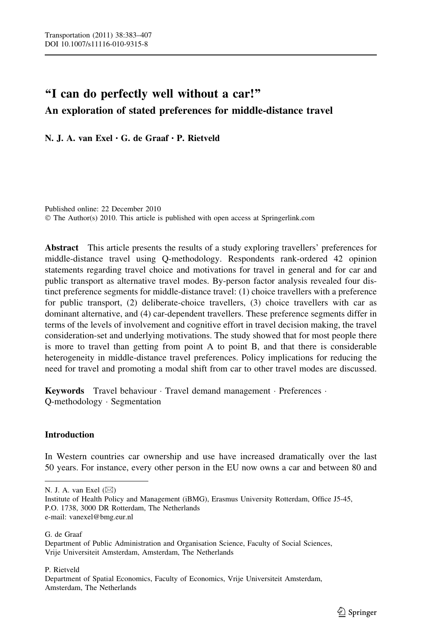# ''I can do perfectly well without a car!'' An exploration of stated preferences for middle-distance travel

N. J. A. van Exel • G. de Graaf • P. Rietveld

Published online: 22 December 2010 © The Author(s) 2010. This article is published with open access at Springerlink.com

Abstract This article presents the results of a study exploring travellers' preferences for middle-distance travel using Q-methodology. Respondents rank-ordered 42 opinion statements regarding travel choice and motivations for travel in general and for car and public transport as alternative travel modes. By-person factor analysis revealed four distinct preference segments for middle-distance travel: (1) choice travellers with a preference for public transport, (2) deliberate-choice travellers, (3) choice travellers with car as dominant alternative, and (4) car-dependent travellers. These preference segments differ in terms of the levels of involvement and cognitive effort in travel decision making, the travel consideration-set and underlying motivations. The study showed that for most people there is more to travel than getting from point A to point B, and that there is considerable heterogeneity in middle-distance travel preferences. Policy implications for reducing the need for travel and promoting a modal shift from car to other travel modes are discussed.

Keywords Travel behaviour · Travel demand management · Preferences · Q-methodology - Segmentation

# **Introduction**

In Western countries car ownership and use have increased dramatically over the last 50 years. For instance, every other person in the EU now owns a car and between 80 and

N. J. A. van Exel  $(\boxtimes)$ 

G. de Graaf

P. Rietveld

Department of Spatial Economics, Faculty of Economics, Vrije Universiteit Amsterdam, Amsterdam, The Netherlands

Institute of Health Policy and Management (iBMG), Erasmus University Rotterdam, Office J5-45, P.O. 1738, 3000 DR Rotterdam, The Netherlands e-mail: vanexel@bmg.eur.nl

Department of Public Administration and Organisation Science, Faculty of Social Sciences, Vrije Universiteit Amsterdam, Amsterdam, The Netherlands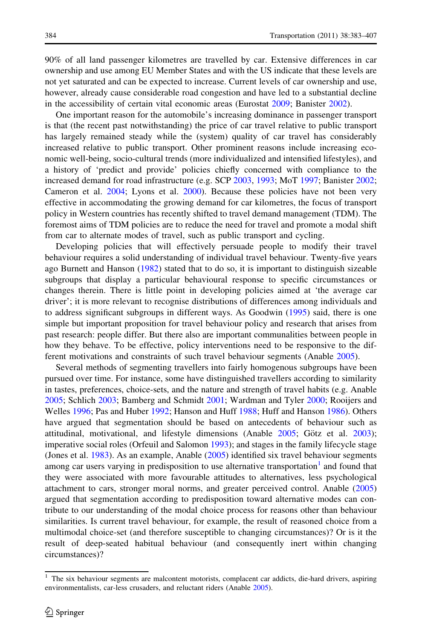90% of all land passenger kilometres are travelled by car. Extensive differences in car ownership and use among EU Member States and with the US indicate that these levels are not yet saturated and can be expected to increase. Current levels of car ownership and use, however, already cause considerable road congestion and have led to a substantial decline in the accessibility of certain vital economic areas (Eurostat [2009](#page-22-0); Banister [2002\)](#page-22-0).

One important reason for the automobile's increasing dominance in passenger transport is that (the recent past notwithstanding) the price of car travel relative to public transport has largely remained steady while the (system) quality of car travel has considerably increased relative to public transport. Other prominent reasons include increasing economic well-being, socio-cultural trends (more individualized and intensified lifestyles), and a history of 'predict and provide' policies chiefly concerned with compliance to the increased demand for road infrastructure (e.g. SCP [2003](#page-23-0), [1993](#page-23-0); MoT [1997;](#page-23-0) Banister [2002;](#page-22-0) Cameron et al. [2004](#page-22-0); Lyons et al. [2000\)](#page-23-0). Because these policies have not been very effective in accommodating the growing demand for car kilometres, the focus of transport policy in Western countries has recently shifted to travel demand management (TDM). The foremost aims of TDM policies are to reduce the need for travel and promote a modal shift from car to alternate modes of travel, such as public transport and cycling.

Developing policies that will effectively persuade people to modify their travel behaviour requires a solid understanding of individual travel behaviour. Twenty-five years ago Burnett and Hanson [\(1982](#page-22-0)) stated that to do so, it is important to distinguish sizeable subgroups that display a particular behavioural response to specific circumstances or changes therein. There is little point in developing policies aimed at 'the average car driver'; it is more relevant to recognise distributions of differences among individuals and to address significant subgroups in different ways. As Goodwin ([1995\)](#page-22-0) said, there is one simple but important proposition for travel behaviour policy and research that arises from past research: people differ. But there also are important communalities between people in how they behave. To be effective, policy interventions need to be responsive to the different motivations and constraints of such travel behaviour segments (Anable [2005\)](#page-22-0).

Several methods of segmenting travellers into fairly homogenous subgroups have been pursued over time. For instance, some have distinguished travellers according to similarity in tastes, preferences, choice-sets, and the nature and strength of travel habits (e.g. Anable [2005;](#page-22-0) Schlich [2003](#page-23-0); Bamberg and Schmidt [2001](#page-22-0); Wardman and Tyler [2000;](#page-24-0) Rooijers and Welles [1996;](#page-23-0) Pas and Huber [1992](#page-23-0); Hanson and Huff [1988;](#page-22-0) Huff and Hanson [1986](#page-22-0)). Others have argued that segmentation should be based on antecedents of behaviour such as attitudinal, motivational, and lifestyle dimensions (Anable  $2005$ ; Götz et al.  $2003$ ); imperative social roles (Orfeuil and Salomon [1993](#page-23-0)); and stages in the family lifecycle stage (Jones et al. [1983\)](#page-23-0). As an example, Anable [\(2005](#page-22-0)) identified six travel behaviour segments among car users varying in predisposition to use alternative transportation<sup>1</sup> and found that they were associated with more favourable attitudes to alternatives, less psychological attachment to cars, stronger moral norms, and greater perceived control. Anable ([2005](#page-22-0)) argued that segmentation according to predisposition toward alternative modes can contribute to our understanding of the modal choice process for reasons other than behaviour similarities. Is current travel behaviour, for example, the result of reasoned choice from a multimodal choice-set (and therefore susceptible to changing circumstances)? Or is it the result of deep-seated habitual behaviour (and consequently inert within changing circumstances)?

<sup>1</sup> The six behaviour segments are malcontent motorists, complacent car addicts, die-hard drivers, aspiring environmentalists, car-less crusaders, and reluctant riders (Anable [2005\)](#page-22-0).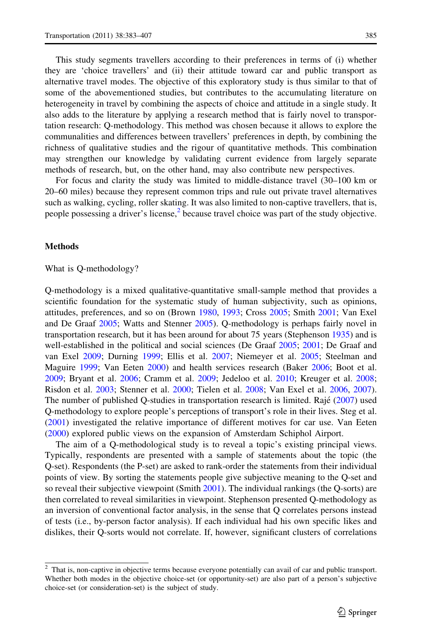This study segments travellers according to their preferences in terms of (i) whether they are 'choice travellers' and (ii) their attitude toward car and public transport as alternative travel modes. The objective of this exploratory study is thus similar to that of some of the abovementioned studies, but contributes to the accumulating literature on heterogeneity in travel by combining the aspects of choice and attitude in a single study. It also adds to the literature by applying a research method that is fairly novel to transportation research: Q-methodology. This method was chosen because it allows to explore the communalities and differences between travellers' preferences in depth, by combining the richness of qualitative studies and the rigour of quantitative methods. This combination may strengthen our knowledge by validating current evidence from largely separate methods of research, but, on the other hand, may also contribute new perspectives.

For focus and clarity the study was limited to middle-distance travel (30–100 km or 20–60 miles) because they represent common trips and rule out private travel alternatives such as walking, cycling, roller skating. It was also limited to non-captive travellers, that is, people possessing a driver's license,<sup>2</sup> because travel choice was part of the study objective.

#### **Methods**

#### What is Q-methodology?

Q-methodology is a mixed qualitative-quantitative small-sample method that provides a scientific foundation for the systematic study of human subjectivity, such as opinions, attitudes, preferences, and so on (Brown [1980,](#page-22-0) [1993](#page-22-0); Cross [2005;](#page-22-0) Smith [2001](#page-23-0); Van Exel and De Graaf [2005](#page-23-0); Watts and Stenner [2005](#page-24-0)). Q-methodology is perhaps fairly novel in transportation research, but it has been around for about 75 years (Stephenson [1935\)](#page-23-0) and is well-established in the political and social sciences (De Graaf [2005](#page-22-0); [2001](#page-22-0); De Graaf and van Exel [2009;](#page-22-0) Durning [1999](#page-22-0); Ellis et al. [2007;](#page-22-0) Niemeyer et al. [2005](#page-23-0); Steelman and Maguire [1999;](#page-23-0) Van Eeten [2000\)](#page-23-0) and health services research (Baker [2006](#page-22-0); Boot et al. [2009;](#page-22-0) Bryant et al. [2006](#page-22-0); Cramm et al. [2009;](#page-22-0) Jedeloo et al. [2010](#page-22-0); Kreuger et al. [2008;](#page-23-0) Risdon et al. [2003;](#page-23-0) Stenner et al. [2000;](#page-23-0) Tielen et al. [2008;](#page-23-0) Van Exel et al. [2006](#page-24-0), [2007](#page-24-0)). The number of published Q-studies in transportation research is limited. Rajé [\(2007](#page-23-0)) used Q-methodology to explore people's perceptions of transport's role in their lives. Steg et al. ([2001\)](#page-23-0) investigated the relative importance of different motives for car use. Van Eeten ([2000\)](#page-23-0) explored public views on the expansion of Amsterdam Schiphol Airport.

The aim of a Q-methodological study is to reveal a topic's existing principal views. Typically, respondents are presented with a sample of statements about the topic (the Q-set). Respondents (the P-set) are asked to rank-order the statements from their individual points of view. By sorting the statements people give subjective meaning to the Q-set and so reveal their subjective viewpoint (Smith [2001](#page-23-0)). The individual rankings (the Q-sorts) are then correlated to reveal similarities in viewpoint. Stephenson presented Q-methodology as an inversion of conventional factor analysis, in the sense that Q correlates persons instead of tests (i.e., by-person factor analysis). If each individual had his own specific likes and dislikes, their Q-sorts would not correlate. If, however, significant clusters of correlations

<sup>&</sup>lt;sup>2</sup> That is, non-captive in objective terms because everyone potentially can avail of car and public transport. Whether both modes in the objective choice-set (or opportunity-set) are also part of a person's subjective choice-set (or consideration-set) is the subject of study.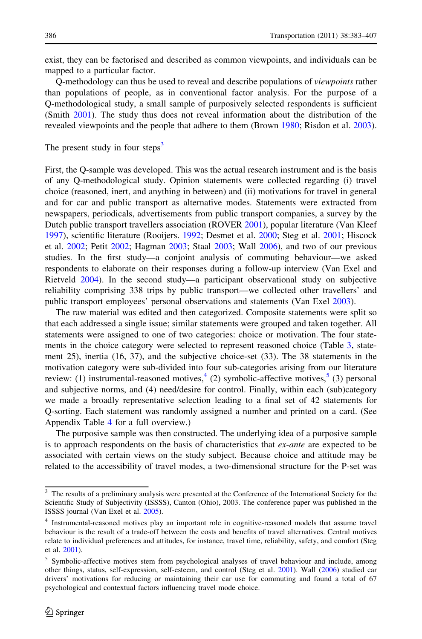exist, they can be factorised and described as common viewpoints, and individuals can be mapped to a particular factor.

Q-methodology can thus be used to reveal and describe populations of viewpoints rather than populations of people, as in conventional factor analysis. For the purpose of a Q-methodological study, a small sample of purposively selected respondents is sufficient (Smith [2001](#page-23-0)). The study thus does not reveal information about the distribution of the revealed viewpoints and the people that adhere to them (Brown [1980;](#page-22-0) Risdon et al. [2003](#page-23-0)).

# The present study in four steps $3$

First, the Q-sample was developed. This was the actual research instrument and is the basis of any Q-methodological study. Opinion statements were collected regarding (i) travel choice (reasoned, inert, and anything in between) and (ii) motivations for travel in general and for car and public transport as alternative modes. Statements were extracted from newspapers, periodicals, advertisements from public transport companies, a survey by the Dutch public transport travellers association (ROVER [2001\)](#page-23-0), popular literature (Van Kleef [1997\)](#page-24-0), scientific literature (Rooijers. [1992](#page-23-0); Desmet et al. [2000;](#page-22-0) Steg et al. [2001;](#page-23-0) Hiscock et al. [2002;](#page-22-0) Petit [2002](#page-23-0); Hagman [2003;](#page-22-0) Staal [2003](#page-23-0); Wall [2006](#page-24-0)), and two of our previous studies. In the first study—a conjoint analysis of commuting behaviour—we asked respondents to elaborate on their responses during a follow-up interview (Van Exel and Rietveld [2004\)](#page-24-0). In the second study—a participant observational study on subjective reliability comprising 338 trips by public transport—we collected other travellers' and public transport employees' personal observations and statements (Van Exel [2003](#page-24-0)).

The raw material was edited and then categorized. Composite statements were split so that each addressed a single issue; similar statements were grouped and taken together. All statements were assigned to one of two categories: choice or motivation. The four state-ments in the choice category were selected to represent reasoned choice (Table [3](#page-16-0), statement 25), inertia (16, 37), and the subjective choice-set (33). The 38 statements in the motivation category were sub-divided into four sub-categories arising from our literature review: (1) instrumental-reasoned motives,  $4^{4}$  (2) symbolic-affective motives,  $5^{5}$  (3) personal and subjective norms, and (4) need/desire for control. Finally, within each (sub)category we made a broadly representative selection leading to a final set of 42 statements for Q-sorting. Each statement was randomly assigned a number and printed on a card. (See Appendix Table [4](#page-19-0) for a full overview.)

The purposive sample was then constructed. The underlying idea of a purposive sample is to approach respondents on the basis of characteristics that *ex-ante* are expected to be associated with certain views on the study subject. Because choice and attitude may be related to the accessibility of travel modes, a two-dimensional structure for the P-set was

<sup>&</sup>lt;sup>3</sup> The results of a preliminary analysis were presented at the Conference of the International Society for the Scientific Study of Subjectivity (ISSSS), Canton (Ohio), 2003. The conference paper was published in the ISSSS journal (Van Exel et al. [2005\)](#page-24-0).

<sup>4</sup> Instrumental-reasoned motives play an important role in cognitive-reasoned models that assume travel behaviour is the result of a trade-off between the costs and benefits of travel alternatives. Central motives relate to individual preferences and attitudes, for instance, travel time, reliability, safety, and comfort (Steg et al. [2001\)](#page-23-0).

<sup>5</sup> Symbolic-affective motives stem from psychological analyses of travel behaviour and include, among other things, status, self-expression, self-esteem, and control (Steg et al. [2001\)](#page-23-0). Wall ([2006\)](#page-24-0) studied car drivers' motivations for reducing or maintaining their car use for commuting and found a total of 67 psychological and contextual factors influencing travel mode choice.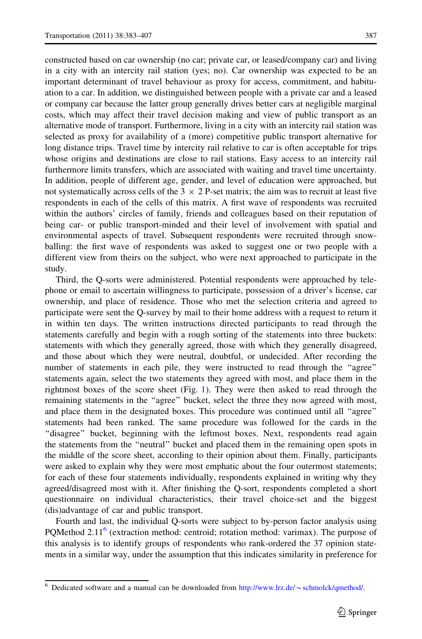constructed based on car ownership (no car; private car, or leased/company car) and living in a city with an intercity rail station (yes; no). Car ownership was expected to be an important determinant of travel behaviour as proxy for access, commitment, and habituation to a car. In addition, we distinguished between people with a private car and a leased or company car because the latter group generally drives better cars at negligible marginal costs, which may affect their travel decision making and view of public transport as an alternative mode of transport. Furthermore, living in a city with an intercity rail station was selected as proxy for availability of a (more) competitive public transport alternative for long distance trips. Travel time by intercity rail relative to car is often acceptable for trips whose origins and destinations are close to rail stations. Easy access to an intercity rail furthermore limits transfers, which are associated with waiting and travel time uncertainty. In addition, people of different age, gender, and level of education were approached, but not systematically across cells of the  $3 \times 2$  P-set matrix; the aim was to recruit at least five respondents in each of the cells of this matrix. A first wave of respondents was recruited within the authors' circles of family, friends and colleagues based on their reputation of being car- or public transport-minded and their level of involvement with spatial and environmental aspects of travel. Subsequent respondents were recruited through snowballing: the first wave of respondents was asked to suggest one or two people with a different view from theirs on the subject, who were next approached to participate in the study.

Third, the Q-sorts were administered. Potential respondents were approached by telephone or email to ascertain willingness to participate, possession of a driver's license, car ownership, and place of residence. Those who met the selection criteria and agreed to participate were sent the Q-survey by mail to their home address with a request to return it in within ten days. The written instructions directed participants to read through the statements carefully and begin with a rough sorting of the statements into three buckets: statements with which they generally agreed, those with which they generally disagreed, and those about which they were neutral, doubtful, or undecided. After recording the number of statements in each pile, they were instructed to read through the ''agree'' statements again, select the two statements they agreed with most, and place them in the rightmost boxes of the score sheet (Fig. [1](#page-13-0)). They were then asked to read through the remaining statements in the ''agree'' bucket, select the three they now agreed with most, and place them in the designated boxes. This procedure was continued until all ''agree'' statements had been ranked. The same procedure was followed for the cards in the ''disagree'' bucket, beginning with the leftmost boxes. Next, respondents read again the statements from the ''neutral'' bucket and placed them in the remaining open spots in the middle of the score sheet, according to their opinion about them. Finally, participants were asked to explain why they were most emphatic about the four outermost statements; for each of these four statements individually, respondents explained in writing why they agreed/disagreed most with it. After finishing the Q-sort, respondents completed a short questionnaire on individual characteristics, their travel choice-set and the biggest (dis)advantage of car and public transport.

Fourth and last, the individual Q-sorts were subject to by-person factor analysis using PQMethod 2.11<sup>6</sup> (extraction method: centroid; rotation method: varimax). The purpose of this analysis is to identify groups of respondents who rank-ordered the 37 opinion statements in a similar way, under the assumption that this indicates similarity in preference for

 $6$  Dedicated software and a manual can be downloaded from http://www.lrz.de/ $\sim$ [schmolck/qmethod/](http://www.lrz.de/~schmolck/qmethod/).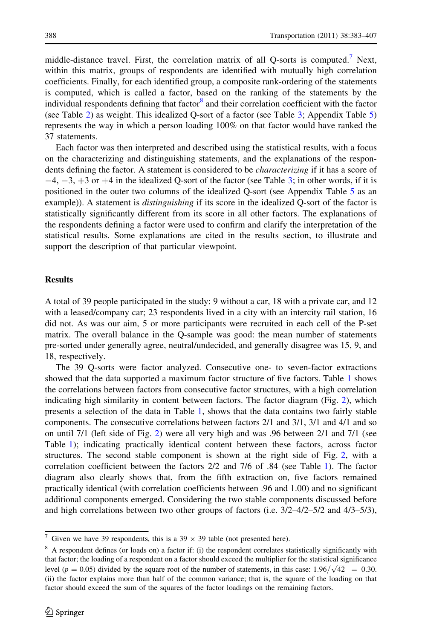middle-distance travel. First, the correlation matrix of all O-sorts is computed.<sup>7</sup> Next, within this matrix, groups of respondents are identified with mutually high correlation coefficients. Finally, for each identified group, a composite rank-ordering of the statements is computed, which is called a factor, based on the ranking of the statements by the individual respondents defining that factor $<sup>8</sup>$  and their correlation coefficient with the factor</sup> (see Table [2](#page-15-0)) as weight. This idealized Q-sort of a factor (see Table [3;](#page-16-0) Appendix Table [5](#page-21-0)) represents the way in which a person loading 100% on that factor would have ranked the 37 statements.

Each factor was then interpreted and described using the statistical results, with a focus on the characterizing and distinguishing statements, and the explanations of the respondents defining the factor. A statement is considered to be *characterizing* if it has a score of  $-4$ ,  $-3$ ,  $+3$  or  $+4$  in the idealized Q-sort of the factor (see Table [3;](#page-16-0) in other words, if it is positioned in the outer two columns of the idealized Q-sort (see Appendix Table [5](#page-21-0) as an example)). A statement is *distinguishing* if its score in the idealized Q-sort of the factor is statistically significantly different from its score in all other factors. The explanations of the respondents defining a factor were used to confirm and clarify the interpretation of the statistical results. Some explanations are cited in the results section, to illustrate and support the description of that particular viewpoint.

# Results

A total of 39 people participated in the study: 9 without a car, 18 with a private car, and 12 with a leased/company car; 23 respondents lived in a city with an intercity rail station, 16 did not. As was our aim, 5 or more participants were recruited in each cell of the P-set matrix. The overall balance in the Q-sample was good: the mean number of statements pre-sorted under generally agree, neutral/undecided, and generally disagree was 15, 9, and 18, respectively.

The 39 Q-sorts were factor analyzed. Consecutive one- to seven-factor extractions showed that the data supported a maximum factor structure of five factors. Table [1](#page-7-0) shows the correlations between factors from consecutive factor structures, with a high correlation indicating high similarity in content between factors. The factor diagram (Fig. [2\)](#page-14-0), which presents a selection of the data in Table [1,](#page-7-0) shows that the data contains two fairly stable components. The consecutive correlations between factors 2/1 and 3/1, 3/1 and 4/1 and so on until 7/1 (left side of Fig. [2](#page-14-0)) were all very high and was .96 between 2/1 and 7/1 (see Table [1](#page-7-0)); indicating practically identical content between these factors, across factor structures. The second stable component is shown at the right side of Fig. [2,](#page-14-0) with a correlation coefficient between the factors 2/2 and 7/6 of .84 (see Table [1](#page-7-0)). The factor diagram also clearly shows that, from the fifth extraction on, five factors remained practically identical (with correlation coefficients between .96 and 1.00) and no significant additional components emerged. Considering the two stable components discussed before and high correlations between two other groups of factors (i.e. 3/2–4/2–5/2 and 4/3–5/3),

<sup>&</sup>lt;sup>7</sup> Given we have 39 respondents, this is a 39  $\times$  39 table (not presented here).

<sup>8</sup> A respondent defines (or loads on) a factor if: (i) the respondent correlates statistically significantly with that factor; the loading of a respondent on a factor should exceed the multiplier for the statistical significance level  $(p = 0.05)$  divided by the square root of the number of statements, in this case:  $1.96/\sqrt{42} = 0.30$ . (ii) the factor explains more than half of the common variance; that is, the square of the loading on that factor should exceed the sum of the squares of the factor loadings on the remaining factors.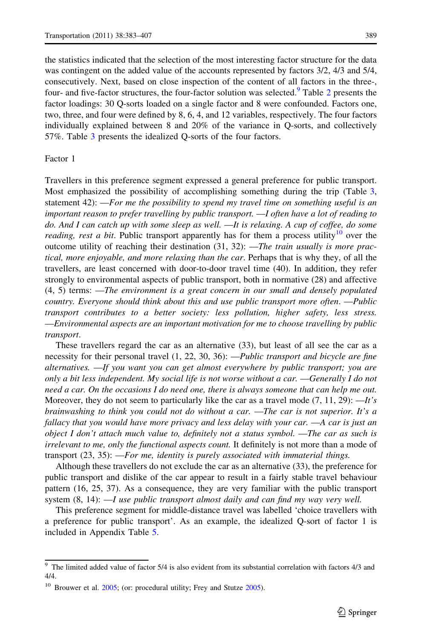the statistics indicated that the selection of the most interesting factor structure for the data was contingent on the added value of the accounts represented by factors 3/2, 4/3 and 5/4, consecutively. Next, based on close inspection of the content of all factors in the three-, four- and five-factor structures, the four-factor solution was selected.<sup>9</sup> Table [2](#page-15-0) presents the factor loadings: 30 Q-sorts loaded on a single factor and 8 were confounded. Factors one, two, three, and four were defined by 8, 6, 4, and 12 variables, respectively. The four factors individually explained between 8 and 20% of the variance in Q-sorts, and collectively 57%. Table [3](#page-16-0) presents the idealized Q-sorts of the four factors.

#### Factor 1

Travellers in this preference segment expressed a general preference for public transport. Most emphasized the possibility of accomplishing something during the trip (Table [3](#page-16-0), statement 42): —For me the possibility to spend my travel time on something useful is an important reason to prefer travelling by public transport. —I often have a lot of reading to do. And I can catch up with some sleep as well. —It is relaxing. A cup of coffee, do some *reading, rest a bit.* Public transport apparently has for them a process utility<sup>10</sup> over the outcome utility of reaching their destination  $(31, 32)$ : —*The train usually is more prac*tical, more enjoyable, and more relaxing than the car. Perhaps that is why they, of all the travellers, are least concerned with door-to-door travel time (40). In addition, they refer strongly to environmental aspects of public transport, both in normative (28) and affective (4, 5) terms: —The environment is a great concern in our small and densely populated country. Everyone should think about this and use public transport more often. —Public transport contributes to a better society: less pollution, higher safety, less stress. —Environmental aspects are an important motivation for me to choose travelling by public transport.

These travellers regard the car as an alternative (33), but least of all see the car as a necessity for their personal travel  $(1, 22, 30, 36)$ : --*Public transport and bicycle are fine* alternatives. —If you want you can get almost everywhere by public transport; you are only a bit less independent. My social life is not worse without a car. —Generally I do not need a car. On the occasions I do need one, there is always someone that can help me out. Moreover, they do not seem to particularly like the car as a travel mode  $(7, 11, 29)$ :  $-It's$ brainwashing to think you could not do without a car. —The car is not superior. It's a fallacy that you would have more privacy and less delay with your car. —A car is just an object I don't attach much value to, definitely not a status symbol. —The car as such is irrelevant to me, only the functional aspects count. It definitely is not more than a mode of transport (23, 35): —For me, identity is purely associated with immaterial things.

Although these travellers do not exclude the car as an alternative (33), the preference for public transport and dislike of the car appear to result in a fairly stable travel behaviour pattern (16, 25, 37). As a consequence, they are very familiar with the public transport system  $(8, 14)$ :  $-I$  use public transport almost daily and can find my way very well.

This preference segment for middle-distance travel was labelled 'choice travellers with a preference for public transport'. As an example, the idealized Q-sort of factor 1 is included in Appendix Table [5](#page-21-0).

The limited added value of factor 5/4 is also evident from its substantial correlation with factors 4/3 and 4/4.

<sup>&</sup>lt;sup>10</sup> Brouwer et al. [2005;](#page-22-0) (or: procedural utility; Frey and Stutze [2005\)](#page-22-0).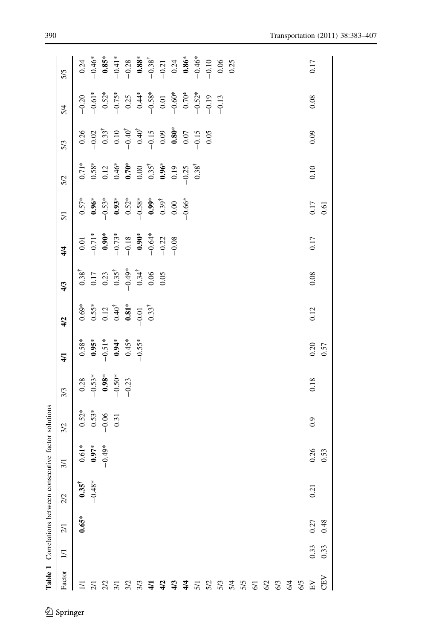<span id="page-7-0"></span>

|                        |                 |                 | Table 1 Correlations between consecutive factor solutions |                                |                                                        |                                                                                                           |                                                                        |                                                  |                                                                                                                        |               |                                                                                                          |                                                                                                                                      |                                                                                                                                  |                                                                                                                                                        |                                                                                                                                                                                                                                                                                                                                                                                                                                                     |
|------------------------|-----------------|-----------------|-----------------------------------------------------------|--------------------------------|--------------------------------------------------------|-----------------------------------------------------------------------------------------------------------|------------------------------------------------------------------------|--------------------------------------------------|------------------------------------------------------------------------------------------------------------------------|---------------|----------------------------------------------------------------------------------------------------------|--------------------------------------------------------------------------------------------------------------------------------------|----------------------------------------------------------------------------------------------------------------------------------|--------------------------------------------------------------------------------------------------------------------------------------------------------|-----------------------------------------------------------------------------------------------------------------------------------------------------------------------------------------------------------------------------------------------------------------------------------------------------------------------------------------------------------------------------------------------------------------------------------------------------|
| Factor                 | $\overline{11}$ | $\overline{21}$ | 2/2                                                       | $\overline{3}/1$               | 3/2                                                    | 3/3                                                                                                       | $\vec{r}$                                                              | 4/2                                              | 4/3                                                                                                                    | $\frac{4}{4}$ | 5/1                                                                                                      | 5/2                                                                                                                                  | 5/3                                                                                                                              | 5/4                                                                                                                                                    | 5/5                                                                                                                                                                                                                                                                                                                                                                                                                                                 |
| $\Xi$                  |                 | $0.65*$         | $0.35^{\dagger}$                                          |                                |                                                        |                                                                                                           |                                                                        |                                                  |                                                                                                                        |               |                                                                                                          | $0.71*$                                                                                                                              | 0.26                                                                                                                             |                                                                                                                                                        | 0.24                                                                                                                                                                                                                                                                                                                                                                                                                                                |
| $\overline{21}$        |                 |                 | $-0.48*$                                                  | $0.61*$<br>$0.97*$<br>$-0.49*$ |                                                        |                                                                                                           |                                                                        |                                                  |                                                                                                                        |               |                                                                                                          |                                                                                                                                      |                                                                                                                                  |                                                                                                                                                        | $-0.46*$                                                                                                                                                                                                                                                                                                                                                                                                                                            |
| 2/2                    |                 |                 |                                                           |                                | $\begin{array}{c} 0.52* \\ 0.53* \\ -0.06 \end{array}$ | $\begin{array}{r} 0.28 \\ -0.53^* \\ \mathbf{0.98^*} \\ -0.50^* \\ \mathbf{-0.50^*} \\ -0.23 \end{array}$ | $0.58$ *<br>$0.95$ *<br>$-0.51$ *<br>$0.94$ *<br>$0.45$ *<br>$-0.53$ * |                                                  |                                                                                                                        |               |                                                                                                          |                                                                                                                                      |                                                                                                                                  |                                                                                                                                                        |                                                                                                                                                                                                                                                                                                                                                                                                                                                     |
| $\overline{31}$        |                 |                 |                                                           |                                |                                                        |                                                                                                           |                                                                        |                                                  |                                                                                                                        |               |                                                                                                          |                                                                                                                                      |                                                                                                                                  |                                                                                                                                                        |                                                                                                                                                                                                                                                                                                                                                                                                                                                     |
|                        |                 |                 |                                                           |                                |                                                        |                                                                                                           |                                                                        |                                                  |                                                                                                                        |               |                                                                                                          |                                                                                                                                      |                                                                                                                                  |                                                                                                                                                        |                                                                                                                                                                                                                                                                                                                                                                                                                                                     |
|                        |                 |                 |                                                           |                                |                                                        |                                                                                                           |                                                                        | 0.69*<br>0.55*<br>0.12<br>0.40*<br><b>0.3</b> 3* | $\begin{array}{c} 0.38^{\dagger}\\ 0.17\\ 0.23\\ 0.35^{\dagger}\\ 0.49^{\ast}\\ 0.34\\ 0.05\\ 0.05\\ 0.05 \end{array}$ |               |                                                                                                          |                                                                                                                                      |                                                                                                                                  |                                                                                                                                                        |                                                                                                                                                                                                                                                                                                                                                                                                                                                     |
|                        |                 |                 |                                                           |                                |                                                        |                                                                                                           |                                                                        |                                                  |                                                                                                                        |               |                                                                                                          |                                                                                                                                      |                                                                                                                                  |                                                                                                                                                        |                                                                                                                                                                                                                                                                                                                                                                                                                                                     |
|                        |                 |                 |                                                           |                                |                                                        |                                                                                                           |                                                                        |                                                  |                                                                                                                        |               | $0.57$<br>$0.96$<br>$-0.53$<br>$-0.53$<br>$-0.53$<br>$-0.53$<br>$-0.59$<br>$-0.59$<br>$-0.59$<br>$-0.59$ | $\begin{array}{cccc}\n0.58^*\\ 0.12\\ 0.46^*\\ 0.670^*\\ 0.000\\ 0.000\\ 0.96^*\\ 0.12\\ 0.00\\ 0.019\\ 0.38^*\\ 0.38^* \end{array}$ | $-10.03$<br>$-10.03$<br>$-10.05$<br>$-10.05$<br>$-10.05$<br>$-10.05$<br>$-10.05$<br>$-10.05$<br>$-10.05$<br>$-10.05$<br>$-10.05$ | $-0.20$<br>$-0.61*$<br>$-0.75*$<br>$-0.75*$<br>$-0.35*$<br>$-0.35*$<br>$-0.50*$<br>$-0.50*$<br>$-0.50*$<br>$-0.50*$<br>$-0.50*$<br>$-0.50*$<br>$-0.13$ | $\overset{*}{\bullet}$ $\overset{*}{\bullet}$ $\overset{*}{\bullet}$ $\overset{*}{\bullet}$ $\overset{*}{\bullet}$ $\overset{*}{\bullet}$ $\overset{*}{\bullet}$ $\overset{*}{\bullet}$ $\overset{*}{\bullet}$ $\overset{*}{\bullet}$ $\overset{*}{\bullet}$ $\overset{*}{\bullet}$ $\overset{*}{\bullet}$ $\overset{*}{\bullet}$ $\overset{*}{\bullet}$ $\overset{*}{\bullet}$ $\overset{*}{\bullet}$ $\overset{*}{\bullet}$ $\overset{*}{\bullet$ |
|                        |                 |                 |                                                           |                                |                                                        |                                                                                                           |                                                                        |                                                  |                                                                                                                        |               |                                                                                                          |                                                                                                                                      |                                                                                                                                  |                                                                                                                                                        |                                                                                                                                                                                                                                                                                                                                                                                                                                                     |
|                        |                 |                 |                                                           |                                |                                                        |                                                                                                           |                                                                        |                                                  |                                                                                                                        |               | $-0.66*$                                                                                                 |                                                                                                                                      |                                                                                                                                  |                                                                                                                                                        |                                                                                                                                                                                                                                                                                                                                                                                                                                                     |
|                        |                 |                 |                                                           |                                |                                                        |                                                                                                           |                                                                        |                                                  |                                                                                                                        |               |                                                                                                          |                                                                                                                                      |                                                                                                                                  |                                                                                                                                                        |                                                                                                                                                                                                                                                                                                                                                                                                                                                     |
|                        |                 |                 |                                                           |                                |                                                        |                                                                                                           |                                                                        |                                                  |                                                                                                                        |               |                                                                                                          |                                                                                                                                      |                                                                                                                                  |                                                                                                                                                        |                                                                                                                                                                                                                                                                                                                                                                                                                                                     |
|                        |                 |                 |                                                           |                                |                                                        |                                                                                                           |                                                                        |                                                  |                                                                                                                        |               |                                                                                                          |                                                                                                                                      |                                                                                                                                  |                                                                                                                                                        |                                                                                                                                                                                                                                                                                                                                                                                                                                                     |
|                        |                 |                 |                                                           |                                |                                                        |                                                                                                           |                                                                        |                                                  |                                                                                                                        |               |                                                                                                          |                                                                                                                                      |                                                                                                                                  |                                                                                                                                                        |                                                                                                                                                                                                                                                                                                                                                                                                                                                     |
|                        |                 |                 |                                                           |                                |                                                        |                                                                                                           |                                                                        |                                                  |                                                                                                                        |               |                                                                                                          |                                                                                                                                      |                                                                                                                                  |                                                                                                                                                        |                                                                                                                                                                                                                                                                                                                                                                                                                                                     |
|                        |                 |                 |                                                           |                                |                                                        |                                                                                                           |                                                                        |                                                  |                                                                                                                        |               |                                                                                                          |                                                                                                                                      |                                                                                                                                  |                                                                                                                                                        |                                                                                                                                                                                                                                                                                                                                                                                                                                                     |
|                        |                 |                 |                                                           |                                |                                                        |                                                                                                           |                                                                        |                                                  |                                                                                                                        |               |                                                                                                          |                                                                                                                                      |                                                                                                                                  |                                                                                                                                                        |                                                                                                                                                                                                                                                                                                                                                                                                                                                     |
|                        |                 |                 |                                                           |                                |                                                        |                                                                                                           |                                                                        |                                                  |                                                                                                                        |               |                                                                                                          |                                                                                                                                      |                                                                                                                                  |                                                                                                                                                        |                                                                                                                                                                                                                                                                                                                                                                                                                                                     |
|                        |                 |                 |                                                           |                                |                                                        |                                                                                                           |                                                                        |                                                  |                                                                                                                        |               |                                                                                                          |                                                                                                                                      |                                                                                                                                  |                                                                                                                                                        |                                                                                                                                                                                                                                                                                                                                                                                                                                                     |
|                        |                 |                 |                                                           |                                |                                                        |                                                                                                           |                                                                        |                                                  |                                                                                                                        |               |                                                                                                          |                                                                                                                                      |                                                                                                                                  |                                                                                                                                                        |                                                                                                                                                                                                                                                                                                                                                                                                                                                     |
| $\mathbf{E}\mathbf{V}$ | 0.33            | 0.27            | 0.2                                                       | 0.26                           | 0.9                                                    | 0.18                                                                                                      | 0.20                                                                   | 0.12                                             | 0.08                                                                                                                   | 0.17          | 0.17                                                                                                     | 0.10                                                                                                                                 | 0.09                                                                                                                             | 0.08                                                                                                                                                   | 0.17                                                                                                                                                                                                                                                                                                                                                                                                                                                |
| <b>GEV</b>             | 0.33            | 0.48            |                                                           | 0.53                           |                                                        |                                                                                                           | 0.57                                                                   |                                                  |                                                                                                                        |               | 0.61                                                                                                     |                                                                                                                                      |                                                                                                                                  |                                                                                                                                                        |                                                                                                                                                                                                                                                                                                                                                                                                                                                     |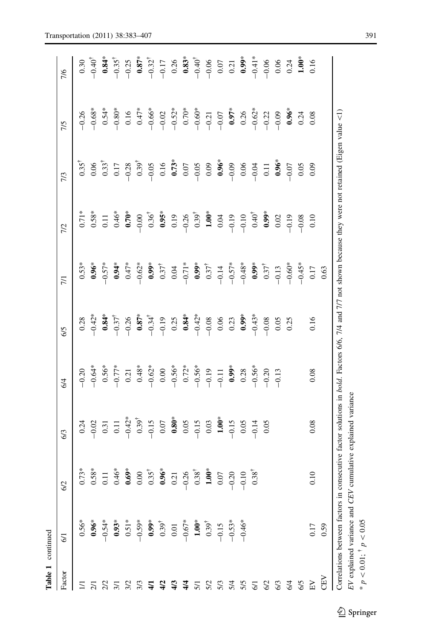| Table 1 continued |                                                                                                                                                                                                                                                                                                                                                            |                  |                  |          |                      |                  |                  |                  |          |                   |
|-------------------|------------------------------------------------------------------------------------------------------------------------------------------------------------------------------------------------------------------------------------------------------------------------------------------------------------------------------------------------------------|------------------|------------------|----------|----------------------|------------------|------------------|------------------|----------|-------------------|
| Factor            | $\overline{61}$                                                                                                                                                                                                                                                                                                                                            | 6/2              | 6/3              | 6/4      | 6/5                  | 771              | 7/2              | 7/3              | 7/5      | 7/6               |
| $\Xi$             | $0.56*$                                                                                                                                                                                                                                                                                                                                                    | $0.73*$          | 0.24             | $-0.20$  | 0.28                 | $0.53*$          | $0.71*$          | $0.35^{\dagger}$ | $-0.26$  | 0.30              |
|                   |                                                                                                                                                                                                                                                                                                                                                            | $0.58*$          | $-0.02$          | $-0.64*$ | $-0.42*$             | $0.96*$          | $0.58*$          | $0.06$           | $-0.68*$ | $-0.40^{\dagger}$ |
| 2/2               | $0.96*$<br>-0.54*                                                                                                                                                                                                                                                                                                                                          | 0.11             | 0.31             | $0.56*$  | $0.84*$              | $-0.57*$         | 0.11             | $0.33^\dagger$   | $0.54*$  | $0.84*$           |
| $\overline{3}$    |                                                                                                                                                                                                                                                                                                                                                            | $0.46*$          | $0.11\,$         | $-0.77*$ | $-0.37$ <sup>†</sup> | $0.94*$          | $0.46*$          | $0.17\,$         | $-0.80*$ | $-0.35^{\dagger}$ |
| 3/2               | <b>99</b><br><b>0.</b> $\frac{3}{2}$<br>$\frac{3}{2}$<br>$\frac{3}{2}$<br>$\frac{3}{2}$<br>$\frac{3}{2}$<br>$\frac{3}{2}$<br>$\frac{3}{2}$<br>$\frac{3}{2}$<br>$\frac{3}{2}$<br>$\frac{3}{2}$<br>$\frac{3}{2}$<br>$\frac{3}{2}$<br>$\frac{3}{2}$<br>$\frac{3}{2}$<br>$\frac{3}{2}$<br>$\frac{3}{2}$<br>$\frac{3}{2}$<br>$\frac{3}{2}$<br>$\frac{3}{2}$<br> | $0.69*$          | $-0.42*$         | 0.21     | $-0.26$              | $0.47*$          | $0.70*$          | $-0.28$          | 0.16     | $-0.25$           |
| 3/3               |                                                                                                                                                                                                                                                                                                                                                            | $0.00\,$         | $0.39^{\dagger}$ | $0.48*$  | $0.87*$              | $-0.62*$         | $-0.00$          | $0.39^{\dagger}$ | $0.47*$  | $0.87*$           |
|                   |                                                                                                                                                                                                                                                                                                                                                            | $0.35^{\dagger}$ | $-0.15$          | $-0.62*$ | $-0.34$ <sup>†</sup> | $0.99*$          | $0.36^{\dagger}$ | $-0.05$          | $-0.66*$ | $-0.32^{\dagger}$ |
| $\frac{2}{4}$     |                                                                                                                                                                                                                                                                                                                                                            | $0.96*$          | $0.07\,$         | $0.00\,$ | $-0.19$              | $0.37^{\dagger}$ | $0.95*$          | 0.16             | $-0.02$  | $-0.17$           |
| 43                |                                                                                                                                                                                                                                                                                                                                                            | 0.21             | $0.80\mathrm{*}$ | $-0.56*$ | 0.25                 | $0.04$           | 0.19             | $0.73*$          | $-0.52*$ | 0.26              |
| $rac{4}{4}$       |                                                                                                                                                                                                                                                                                                                                                            | $-0.26$          | $0.05\,$         | $0.72*$  | $0.84*$              | $-0.71*$         | $-0.26$          | $0.07\,$         | $0.70*$  | $0.83*$           |
| 5/1               |                                                                                                                                                                                                                                                                                                                                                            | $0.38^{\dagger}$ | $-0.15$          | $-0.56*$ | $-0.42*$             | $0.99*$          | $0.39^{\dagger}$ | $-0.05$          | $-0.60*$ | $-0.40^{\dagger}$ |
| 5/2               |                                                                                                                                                                                                                                                                                                                                                            | $1.00*$          | 0.03             | $-0.19$  | $-0.08$              | $0.37^{\dagger}$ | $1.00*$          | 0.09             | $-0.21$  | $-0.06$           |
| 5/3               |                                                                                                                                                                                                                                                                                                                                                            | $0.07$           | $1.00*$          | $-0.11$  | 0.06                 | $-0.14$          | $0.04\,$         | $0.96^*$         | $-0.07$  | $0.07\,$          |
| 5/4               |                                                                                                                                                                                                                                                                                                                                                            | $-0.20$          | $-0.15$          | $0.99*$  | 0.23                 | $-0.57*$         | $-0.19$          | $-0.09$          | $0.97*$  | 0.21              |
| 5/5               |                                                                                                                                                                                                                                                                                                                                                            | $-0.10$          | 0.05             | 0.28     | $0.99*$              | $-0.48*$         | $-0.10$          | $0.06$           | 0.26     | $0.99*$           |
| $\overline{5}$    |                                                                                                                                                                                                                                                                                                                                                            | $0.38^{\dagger}$ | $-0.14$          | $-0.56*$ | $-0.43*$             | $0.99*$          | $0.40^{\dagger}$ | $-0.04$          | $-0.62*$ | $-0.41*$          |
| 6/2               |                                                                                                                                                                                                                                                                                                                                                            |                  | 0.05             | $-0.20$  | $-0.08$              | $0.37^{\dagger}$ | $0.99*$          | $\overline{0}$   | $-0.22$  | $-0.06$           |
| 6/3               |                                                                                                                                                                                                                                                                                                                                                            |                  |                  | $-0.13$  | 0.05                 | $-0.13$          | $0.02\,$         | $0.96*$          | $-0.09$  | $0.06$            |
| 6/4               |                                                                                                                                                                                                                                                                                                                                                            |                  |                  |          | 0.25                 | $-0.60*$         | $-0.19$          | $-0.07$          | $0.96*$  | 0.24              |
| 6/5               |                                                                                                                                                                                                                                                                                                                                                            |                  |                  |          |                      | $-0.45*$         | $-0.08$          | 0.05             | 0.24     | $1.00*$           |
| EV                | 0.17                                                                                                                                                                                                                                                                                                                                                       | 0.10             | 0.08             | 0.08     | 0.16                 | 0.17             | 0.10             | 0.09             | 0.08     | 0.16              |
| D<br>巴            | 0.59                                                                                                                                                                                                                                                                                                                                                       |                  |                  |          |                      | 0.63             |                  |                  |          |                   |
|                   | Correlations between factors in consecutive factor solutions in <i>bold</i> . Factors 6/6, 7/4 and 7/7 not shown because they were not retained (Eigen value <1)                                                                                                                                                                                           |                  |                  |          |                      |                  |                  |                  |          |                   |

\*  $p < 0.01$ ;  $^+$ 

 $p > 0.05$ 

EV explained variance and CEV cumulative explained variance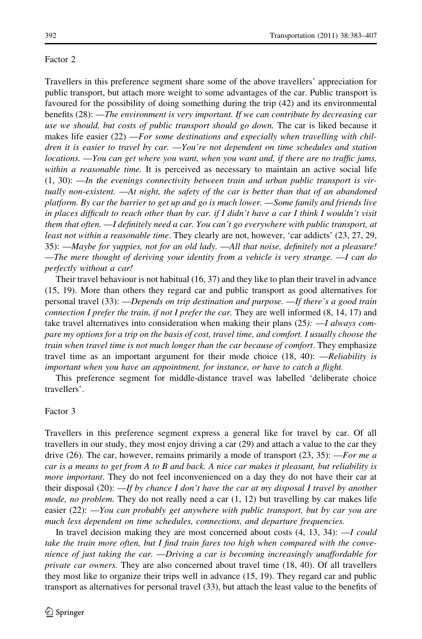### Factor 2

Travellers in this preference segment share some of the above travellers' appreciation for public transport, but attach more weight to some advantages of the car. Public transport is favoured for the possibility of doing something during the trip (42) and its environmental benefits (28): —The environment is very important. If we can contribute by decreasing car use we should, but costs of public transport should go down. The car is liked because it makes life easier  $(22)$  —For some destinations and especially when travelling with children it is easier to travel by car. —You're not dependent on time schedules and station locations. —You can get where you want, when you want and, if there are no traffic jams, within a reasonable time. It is perceived as necessary to maintain an active social life  $(1, 30)$ : —In the evenings connectivity between train and urban public transport is virtually non-existent. —At night, the safety of the car is better than that of an abandoned platform. By car the barrier to get up and go is much lower. —Some family and friends live in places difficult to reach other than by car. if I didn't have a car I think I wouldn't visit them that often. —I definitely need a car. You can't go everywhere with public transport, at least not within a reasonable time. They clearly are not, however, 'car addicts' (23, 27, 29, 35): —Maybe for yuppies, not for an old lady. —All that noise, definitely not a pleasure! —The mere thought of deriving your identity from a vehicle is very strange. —I can do perfectly without a car!

Their travel behaviour is not habitual (16, 37) and they like to plan their travel in advance (15, 19). More than others they regard car and public transport as good alternatives for personal travel (33): —Depends on trip destination and purpose. —If there's a good train connection I prefer the train, if not I prefer the car. They are well informed  $(8, 14, 17)$  and take travel alternatives into consideration when making their plans  $(25)$ :  $-I$  always compare my options for a trip on the basis of cost, travel time, and comfort. I usually choose the train when travel time is not much longer than the car because of comfort. They emphasize travel time as an important argument for their mode choice  $(18, 40)$ :  $\rightarrow$ *Reliability is* important when you have an appointment, for instance, or have to catch a flight.

This preference segment for middle-distance travel was labelled 'deliberate choice travellers'.

#### Factor 3

Travellers in this preference segment express a general like for travel by car. Of all travellers in our study, they most enjoy driving a car (29) and attach a value to the car they drive (26). The car, however, remains primarily a mode of transport (23, 35):  $-For$  me a car is a means to get from A to B and back. A nice car makes it pleasant, but reliability is *more important*. They do not feel inconvenienced on a day they do not have their car at their disposal (20):  $\frac{-If}{by}$  chance I don't have the car at my disposal I travel by another *mode, no problem.* They do not really need a car  $(1, 12)$  but travelling by car makes life easier (22): —You can probably get anywhere with public transport, but by car you are much less dependent on time schedules, connections, and departure frequencies.

In travel decision making they are most concerned about costs  $(4, 13, 34)$ :  $-I$  could take the train more often, but I find train fares too high when compared with the convenience of just taking the car. —Driving a car is becoming increasingly unaffordable for private car owners. They are also concerned about travel time (18, 40). Of all travellers they most like to organize their trips well in advance (15, 19). They regard car and public transport as alternatives for personal travel (33), but attach the least value to the benefits of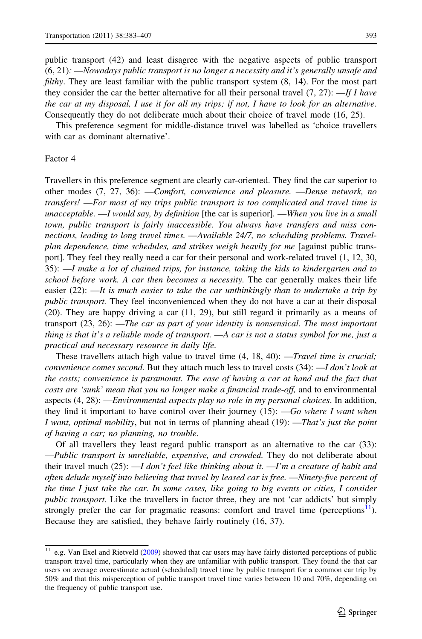public transport (42) and least disagree with the negative aspects of public transport  $(6, 21)$ : —Nowadays public transport is no longer a necessity and it's generally unsafe and filthy. They are least familiar with the public transport system  $(8, 14)$ . For the most part they consider the car the better alternative for all their personal travel  $(7, 27)$ :  $\rightarrow$  *H<sub>I</sub>* have the car at my disposal, I use it for all my trips; if not, I have to look for an alternative. Consequently they do not deliberate much about their choice of travel mode (16, 25).

This preference segment for middle-distance travel was labelled as 'choice travellers with car as dominant alternative'.

#### Factor 4

Travellers in this preference segment are clearly car-oriented. They find the car superior to other modes (7, 27, 36): —Comfort, convenience and pleasure. —Dense network, no transfers! —For most of my trips public transport is too complicated and travel time is unacceptable.  $-I$  would say, by definition [the car is superior]. —When you live in a small town, public transport is fairly inaccessible. You always have transfers and miss connections, leading to long travel times. —Available 24/7, no scheduling problems. Travelplan dependence, time schedules, and strikes weigh heavily for me [against public transport]. They feel they really need a car for their personal and work-related travel (1, 12, 30, 35): —I make a lot of chained trips, for instance, taking the kids to kindergarten and to school before work. A car then becomes a necessity. The car generally makes their life easier (22):  $-It$  is much easier to take the car unthinkingly than to undertake a trip by public transport. They feel inconvenienced when they do not have a car at their disposal (20). They are happy driving a car (11, 29), but still regard it primarily as a means of transport (23, 26): —The car as part of your identity is nonsensical. The most important thing is that it's a reliable mode of transport. —A car is not a status symbol for me, just a practical and necessary resource in daily life.

These travellers attach high value to travel time  $(4, 18, 40)$ :  $-Travel$  time is crucial; convenience comes second. But they attach much less to travel costs (34):  $-I$  don't look at the costs; convenience is paramount. The ease of having a car at hand and the fact that costs are 'sunk' mean that you no longer make a financial trade-off, and to environmental aspects (4, 28): —Environmental aspects play no role in my personal choices. In addition, they find it important to have control over their journey  $(15)$ :  $-Go$  where I want when *I* want, optimal mobility, but not in terms of planning ahead  $(19)$ :  $-*That's just the point*$ of having a car; no planning, no trouble.

Of all travellers they least regard public transport as an alternative to the car (33): —Public transport is unreliable, expensive, and crowded. They do not deliberate about their travel much  $(25)$ :  $-I$  don't feel like thinking about it.  $-I'm$  a creature of habit and often delude myself into believing that travel by leased car is free. —Ninety-five percent of the time I just take the car. In some cases, like going to big events or cities, I consider public transport. Like the travellers in factor three, they are not 'car addicts' but simply strongly prefer the car for pragmatic reasons: comfort and travel time (perceptions<sup>11</sup>). Because they are satisfied, they behave fairly routinely (16, 37).

<sup>&</sup>lt;sup>11</sup> e.g. Van Exel and Rietveld ([2009\)](#page-23-0) showed that car users may have fairly distorted perceptions of public transport travel time, particularly when they are unfamiliar with public transport. They found the that car users on average overestimate actual (scheduled) travel time by public transport for a common car trip by 50% and that this misperception of public transport travel time varies between 10 and 70%, depending on the frequency of public transport use.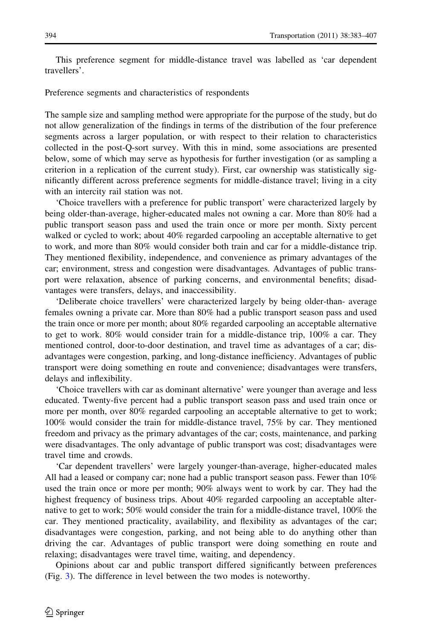This preference segment for middle-distance travel was labelled as 'car dependent travellers'.

#### Preference segments and characteristics of respondents

The sample size and sampling method were appropriate for the purpose of the study, but do not allow generalization of the findings in terms of the distribution of the four preference segments across a larger population, or with respect to their relation to characteristics collected in the post-Q-sort survey. With this in mind, some associations are presented below, some of which may serve as hypothesis for further investigation (or as sampling a criterion in a replication of the current study). First, car ownership was statistically significantly different across preference segments for middle-distance travel; living in a city with an intercity rail station was not.

'Choice travellers with a preference for public transport' were characterized largely by being older-than-average, higher-educated males not owning a car. More than 80% had a public transport season pass and used the train once or more per month. Sixty percent walked or cycled to work; about 40% regarded carpooling an acceptable alternative to get to work, and more than 80% would consider both train and car for a middle-distance trip. They mentioned flexibility, independence, and convenience as primary advantages of the car; environment, stress and congestion were disadvantages. Advantages of public transport were relaxation, absence of parking concerns, and environmental benefits; disadvantages were transfers, delays, and inaccessibility.

'Deliberate choice travellers' were characterized largely by being older-than- average females owning a private car. More than 80% had a public transport season pass and used the train once or more per month; about 80% regarded carpooling an acceptable alternative to get to work. 80% would consider train for a middle-distance trip, 100% a car. They mentioned control, door-to-door destination, and travel time as advantages of a car; disadvantages were congestion, parking, and long-distance inefficiency. Advantages of public transport were doing something en route and convenience; disadvantages were transfers, delays and inflexibility.

'Choice travellers with car as dominant alternative' were younger than average and less educated. Twenty-five percent had a public transport season pass and used train once or more per month, over 80% regarded carpooling an acceptable alternative to get to work; 100% would consider the train for middle-distance travel, 75% by car. They mentioned freedom and privacy as the primary advantages of the car; costs, maintenance, and parking were disadvantages. The only advantage of public transport was cost; disadvantages were travel time and crowds.

'Car dependent travellers' were largely younger-than-average, higher-educated males All had a leased or company car; none had a public transport season pass. Fewer than 10% used the train once or more per month; 90% always went to work by car. They had the highest frequency of business trips. About 40% regarded carpooling an acceptable alternative to get to work; 50% would consider the train for a middle-distance travel, 100% the car. They mentioned practicality, availability, and flexibility as advantages of the car; disadvantages were congestion, parking, and not being able to do anything other than driving the car. Advantages of public transport were doing something en route and relaxing; disadvantages were travel time, waiting, and dependency.

Opinions about car and public transport differed significantly between preferences (Fig. [3\)](#page-18-0). The difference in level between the two modes is noteworthy.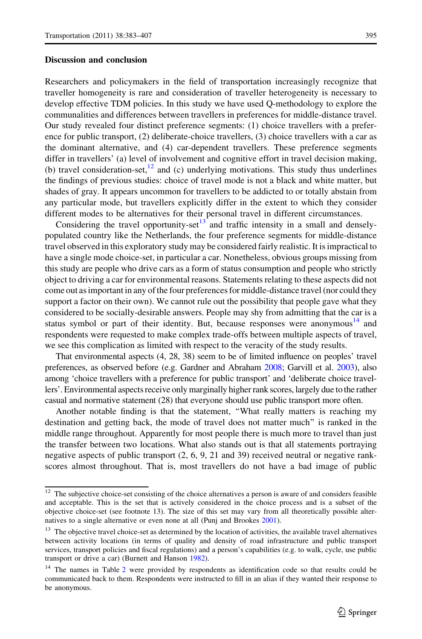#### Discussion and conclusion

Researchers and policymakers in the field of transportation increasingly recognize that traveller homogeneity is rare and consideration of traveller heterogeneity is necessary to develop effective TDM policies. In this study we have used Q-methodology to explore the communalities and differences between travellers in preferences for middle-distance travel. Our study revealed four distinct preference segments: (1) choice travellers with a preference for public transport, (2) deliberate-choice travellers, (3) choice travellers with a car as the dominant alternative, and (4) car-dependent travellers. These preference segments differ in travellers' (a) level of involvement and cognitive effort in travel decision making, (b) travel consideration-set,  $^{12}$  and (c) underlying motivations. This study thus underlines the findings of previous studies: choice of travel mode is not a black and white matter, but shades of gray. It appears uncommon for travellers to be addicted to or totally abstain from any particular mode, but travellers explicitly differ in the extent to which they consider different modes to be alternatives for their personal travel in different circumstances.

Considering the travel opportunity-set<sup>13</sup> and traffic intensity in a small and denselypopulated country like the Netherlands, the four preference segments for middle-distance travel observed in this exploratory study may be considered fairly realistic. It is impractical to have a single mode choice-set, in particular a car. Nonetheless, obvious groups missing from this study are people who drive cars as a form of status consumption and people who strictly object to driving a car for environmental reasons. Statements relating to these aspects did not come out as important in any of the four preferences for middle-distance travel (nor could they support a factor on their own). We cannot rule out the possibility that people gave what they considered to be socially-desirable answers. People may shy from admitting that the car is a status symbol or part of their identity. But, because responses were anonymous<sup>14</sup> and respondents were requested to make complex trade-offs between multiple aspects of travel, we see this complication as limited with respect to the veracity of the study results.

That environmental aspects (4, 28, 38) seem to be of limited influence on peoples' travel preferences, as observed before (e.g. Gardner and Abraham [2008;](#page-22-0) Garvill et al. [2003](#page-22-0)), also among 'choice travellers with a preference for public transport' and 'deliberate choice travellers'. Environmental aspects receive only marginally higher rank scores, largely due to the rather casual and normative statement (28) that everyone should use public transport more often.

Another notable finding is that the statement, ''What really matters is reaching my destination and getting back, the mode of travel does not matter much'' is ranked in the middle range throughout. Apparently for most people there is much more to travel than just the transfer between two locations. What also stands out is that all statements portraying negative aspects of public transport (2, 6, 9, 21 and 39) received neutral or negative rankscores almost throughout. That is, most travellers do not have a bad image of public

<sup>&</sup>lt;sup>12</sup> The subjective choice-set consisting of the choice alternatives a person is aware of and considers feasible and acceptable. This is the set that is actively considered in the choice process and is a subset of the objective choice-set (see footnote 13). The size of this set may vary from all theoretically possible alternatives to a single alternative or even none at all (Punj and Brookes [2001\)](#page-23-0).

<sup>&</sup>lt;sup>13</sup> The objective travel choice-set as determined by the location of activities, the available travel alternatives between activity locations (in terms of quality and density of road infrastructure and public transport services, transport policies and fiscal regulations) and a person's capabilities (e.g. to walk, cycle, use public transport or drive a car) (Burnett and Hanson [1982\)](#page-22-0).

<sup>&</sup>lt;sup>14</sup> The names in Table [2](#page-15-0) were provided by respondents as identification code so that results could be communicated back to them. Respondents were instructed to fill in an alias if they wanted their response to be anonymous.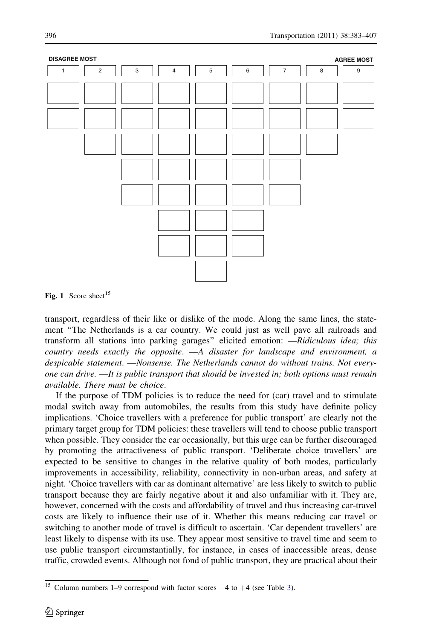<span id="page-13-0"></span>

Fig. 1 Score sheet<sup>15</sup>

transport, regardless of their like or dislike of the mode. Along the same lines, the statement ''The Netherlands is a car country. We could just as well pave all railroads and transform all stations into parking garages" elicited emotion: - Ridiculous idea; this country needs exactly the opposite. —A disaster for landscape and environment, a despicable statement. —Nonsense. The Netherlands cannot do without trains. Not everyone can drive. —It is public transport that should be invested in; both options must remain available. There must be choice.

If the purpose of TDM policies is to reduce the need for (car) travel and to stimulate modal switch away from automobiles, the results from this study have definite policy implications. 'Choice travellers with a preference for public transport' are clearly not the primary target group for TDM policies: these travellers will tend to choose public transport when possible. They consider the car occasionally, but this urge can be further discouraged by promoting the attractiveness of public transport. 'Deliberate choice travellers' are expected to be sensitive to changes in the relative quality of both modes, particularly improvements in accessibility, reliability, connectivity in non-urban areas, and safety at night. 'Choice travellers with car as dominant alternative' are less likely to switch to public transport because they are fairly negative about it and also unfamiliar with it. They are, however, concerned with the costs and affordability of travel and thus increasing car-travel costs are likely to influence their use of it. Whether this means reducing car travel or switching to another mode of travel is difficult to ascertain. 'Car dependent travellers' are least likely to dispense with its use. They appear most sensitive to travel time and seem to use public transport circumstantially, for instance, in cases of inaccessible areas, dense traffic, crowded events. Although not fond of public transport, they are practical about their

<sup>&</sup>lt;sup>15</sup> Column numbers 1–9 correspond with factor scores  $-4$  to  $+4$  (see Table [3](#page-16-0)).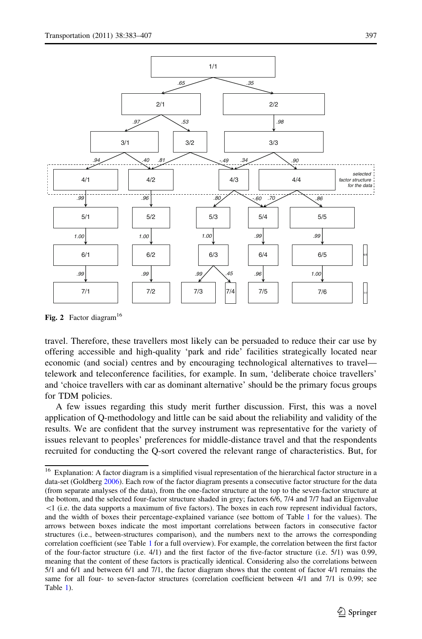<span id="page-14-0"></span>

Fig. 2 Factor diagram<sup>16</sup>

travel. Therefore, these travellers most likely can be persuaded to reduce their car use by offering accessible and high-quality 'park and ride' facilities strategically located near economic (and social) centres and by encouraging technological alternatives to travel telework and teleconference facilities, for example. In sum, 'deliberate choice travellers' and 'choice travellers with car as dominant alternative' should be the primary focus groups for TDM policies.

A few issues regarding this study merit further discussion. First, this was a novel application of Q-methodology and little can be said about the reliability and validity of the results. We are confident that the survey instrument was representative for the variety of issues relevant to peoples' preferences for middle-distance travel and that the respondents recruited for conducting the Q-sort covered the relevant range of characteristics. But, for

 $\frac{16}{16}$  Explanation: A factor diagram is a simplified visual representation of the hierarchical factor structure in a data-set (Goldberg [2006](#page-22-0)). Each row of the factor diagram presents a consecutive factor structure for the data (from separate analyses of the data), from the one-factor structure at the top to the seven-factor structure at the bottom, and the selected four-factor structure shaded in grey; factors 6/6, 7/4 and 7/7 had an Eigenvalue  $\leq$ 1 (i.e. the data supports a maximum of five factors). The boxes in each row represent individual factors, and the width of boxes their percentage-explained variance (see bottom of Table [1](#page-7-0) for the values). The arrows between boxes indicate the most important correlations between factors in consecutive factor structures (i.e., between-structures comparison), and the numbers next to the arrows the corresponding correlation coefficient (see Table [1](#page-7-0) for a full overview). For example, the correlation between the first factor of the four-factor structure (i.e. 4/1) and the first factor of the five-factor structure (i.e. 5/1) was 0.99, meaning that the content of these factors is practically identical. Considering also the correlations between 5/1 and 6/1 and between 6/1 and 7/1, the factor diagram shows that the content of factor 4/1 remains the same for all four- to seven-factor structures (correlation coefficient between 4/1 and 7/1 is 0.99; see Table [1\)](#page-7-0).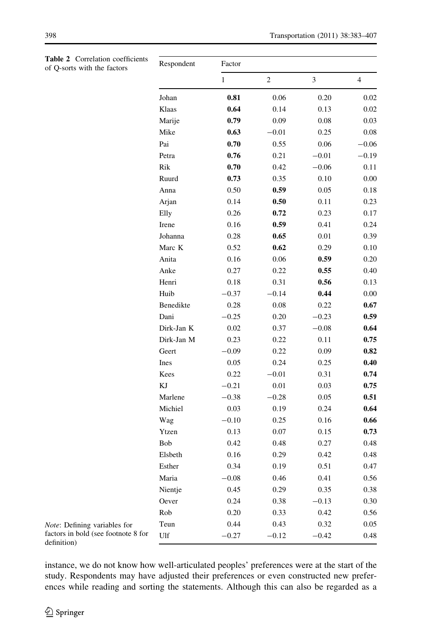<span id="page-15-0"></span>

| Table 2 Correlation coefficients<br>of Q-sorts with the factors | Respondent | Factor       |                  |         |                |
|-----------------------------------------------------------------|------------|--------------|------------------|---------|----------------|
|                                                                 |            | $\mathbf{1}$ | $\boldsymbol{2}$ | 3       | $\overline{4}$ |
|                                                                 | Johan      | 0.81         | 0.06             | 0.20    | 0.02           |
|                                                                 | Klaas      | 0.64         | 0.14             | 0.13    | 0.02           |
|                                                                 | Marije     | 0.79         | 0.09             | 0.08    | 0.03           |
|                                                                 | Mike       | 0.63         | $-0.01$          | 0.25    | 0.08           |
|                                                                 | Pai        | 0.70         | 0.55             | 0.06    | $-0.06$        |
|                                                                 | Petra      | 0.76         | 0.21             | $-0.01$ | $-0.19$        |
|                                                                 | Rik        | 0.70         | 0.42             | $-0.06$ | 0.11           |
|                                                                 | Ruurd      | 0.73         | 0.35             | 0.10    | 0.00           |
|                                                                 | Anna       | 0.50         | 0.59             | 0.05    | 0.18           |
|                                                                 | Arjan      | 0.14         | 0.50             | 0.11    | 0.23           |
|                                                                 | Elly       | 0.26         | 0.72             | 0.23    | 0.17           |
|                                                                 | Irene      | 0.16         | 0.59             | 0.41    | 0.24           |
|                                                                 | Johanna    | 0.28         | 0.65             | 0.01    | 0.39           |
|                                                                 | Marc K     | 0.52         | 0.62             | 0.29    | 0.10           |
|                                                                 | Anita      | 0.16         | 0.06             | 0.59    | 0.20           |
|                                                                 | Anke       | 0.27         | 0.22             | 0.55    | 0.40           |
|                                                                 | Henri      | 0.18         | 0.31             | 0.56    | 0.13           |
|                                                                 | Huib       | $-0.37$      | $-0.14$          | 0.44    | 0.00           |
|                                                                 | Benedikte  | 0.28         | 0.08             | 0.22    | 0.67           |
|                                                                 | Dani       | $-0.25$      | 0.20             | $-0.23$ | 0.59           |
|                                                                 | Dirk-Jan K | 0.02         | 0.37             | $-0.08$ | 0.64           |
|                                                                 | Dirk-Jan M | 0.23         | 0.22             | 0.11    | 0.75           |
|                                                                 | Geert      | $-0.09$      | 0.22             | 0.09    | 0.82           |
|                                                                 | Ines       | 0.05         | 0.24             | 0.25    | 0.40           |
|                                                                 | Kees       | 0.22         | $-0.01$          | 0.31    | 0.74           |
|                                                                 | KJ         | $-0.21$      | 0.01             | 0.03    | 0.75           |
|                                                                 | Marlene    | $-0.38$      | $-0.28$          | 0.05    | 0.51           |
|                                                                 | Michiel    | 0.03         | 0.19             | 0.24    | 0.64           |
|                                                                 | Wag        | $-0.10$      | 0.25             | 0.16    | 0.66           |
|                                                                 | Ytzen      | 0.13         | 0.07             | 0.15    | 0.73           |
|                                                                 | Bob        | 0.42         | 0.48             | 0.27    | 0.48           |
|                                                                 | Elsbeth    | 0.16         | 0.29             | 0.42    | 0.48           |
|                                                                 | Esther     | 0.34         | 0.19             | 0.51    | 0.47           |
|                                                                 | Maria      | $-0.08$      | 0.46             | 0.41    | 0.56           |
|                                                                 | Nientje    | 0.45         | 0.29             | 0.35    | 0.38           |
|                                                                 | Oever      | 0.24         | 0.38             | $-0.13$ | 0.30           |
|                                                                 | Rob        | 0.20         | 0.33             | 0.42    | 0.56           |
| Note: Defining variables for                                    | Teun       | 0.44         | 0.43             | 0.32    | 0.05           |
| factors in bold (see footnote 8 for<br>definition)              | Ulf        | $-0.27$      | $-0.12$          | $-0.42$ | 0.48           |

instance, we do not know how well-articulated peoples' preferences were at the start of the study. Respondents may have adjusted their preferences or even constructed new preferences while reading and sorting the statements. Although this can also be regarded as a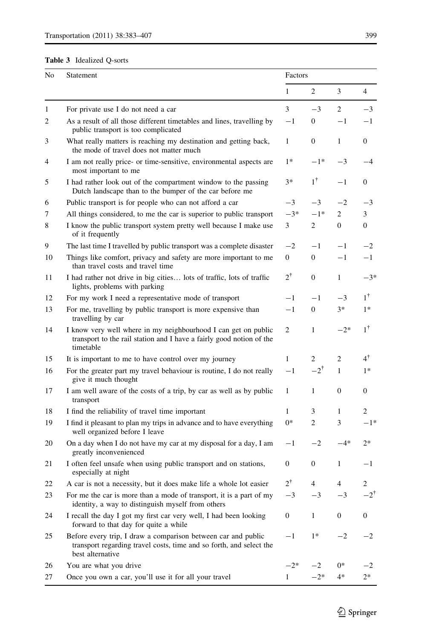# <span id="page-16-0"></span>Table 3 Idealized Q-sorts

| No | Statement                                                                                                                                                | Factors          |                   |                |                   |
|----|----------------------------------------------------------------------------------------------------------------------------------------------------------|------------------|-------------------|----------------|-------------------|
|    |                                                                                                                                                          | $\mathbf{1}$     | 2                 | 3              | 4                 |
| 1  | For private use I do not need a car                                                                                                                      | 3                | $-3$              | 2              | $-3$              |
| 2  | As a result of all those different timetables and lines, travelling by<br>public transport is too complicated                                            | $^{-1}$          | $\overline{0}$    | $^{-1}$        | $-1$              |
| 3  | What really matters is reaching my destination and getting back,<br>the mode of travel does not matter much                                              | $\mathbf{1}$     | 0                 | 1              | $\overline{0}$    |
| 4  | I am not really price- or time-sensitive, environmental aspects are<br>most important to me                                                              | $1*$             | $-1*$             | $-3$           | $-4$              |
| 5  | I had rather look out of the compartment window to the passing<br>Dutch landscape than to the bumper of the car before me                                | $3*$             | $1^{\dagger}$     | $-1$           | $\overline{0}$    |
| 6  | Public transport is for people who can not afford a car                                                                                                  | $-3$             | $-3$              | $-2$           | $-3$              |
| 7  | All things considered, to me the car is superior to public transport                                                                                     | $-3*$            | $-1*$             | 2              | 3                 |
| 8  | I know the public transport system pretty well because I make use<br>of it frequently                                                                    | 3                | 2                 | $\overline{0}$ | $\Omega$          |
| 9  | The last time I travelled by public transport was a complete disaster                                                                                    | $-2$             | $-1$              | $-1$           | $-2$              |
| 10 | Things like comfort, privacy and safety are more important to me<br>than travel costs and travel time                                                    | 0                | $\overline{0}$    | $-1$           | $-1$              |
| 11 | I had rather not drive in big cities lots of traffic, lots of traffic<br>lights, problems with parking                                                   | $2^{\dagger}$    | $\overline{0}$    | 1              | $-3*$             |
| 12 | For my work I need a representative mode of transport                                                                                                    | $-1$             | $-1$              | $-3$           | $1^{\dagger}$     |
| 13 | For me, travelling by public transport is more expensive than<br>travelling by car                                                                       | $-1$             | 0                 | $3*$           | $1*$              |
| 14 | I know very well where in my neighbourhood I can get on public<br>transport to the rail station and I have a fairly good notion of the<br>timetable      | 2                | $\mathbf{1}$      | $-2*$          | $1^{\dagger}$     |
| 15 | It is important to me to have control over my journey                                                                                                    | 1                | $\overline{2}$    | $\overline{c}$ | 4†                |
| 16 | For the greater part my travel behaviour is routine, I do not really<br>give it much thought                                                             | $-1$             | $-2$ <sup>†</sup> | $\mathbf{1}$   | $1*$              |
| 17 | I am well aware of the costs of a trip, by car as well as by public<br>transport                                                                         | 1                | 1                 | $\theta$       | $\overline{0}$    |
| 18 | I find the reliability of travel time important                                                                                                          | 1                | 3                 | 1              | 2                 |
| 19 | I find it pleasant to plan my trips in advance and to have everything<br>well organized before I leave                                                   | $0*$             | $\overline{c}$    | 3              | $-1*$             |
| 20 | On a day when I do not have my car at my disposal for a day, I am<br>greatly inconvenienced                                                              | $-1$             | $-2$              | $-4*$          | $2*$              |
| 21 | I often feel unsafe when using public transport and on stations,<br>especially at night                                                                  | $\boldsymbol{0}$ | $\overline{0}$    | 1              | $-1$              |
| 22 | A car is not a necessity, but it does make life a whole lot easier                                                                                       | $2^{\dagger}$    | $\overline{4}$    | 4              | 2                 |
| 23 | For me the car is more than a mode of transport, it is a part of my<br>identity, a way to distinguish myself from others                                 | $-3$             | $-3$              | $-3$           | $-2$ <sup>†</sup> |
| 24 | I recall the day I got my first car very well, I had been looking<br>forward to that day for quite a while                                               | $\boldsymbol{0}$ | $\mathbf{1}$      | $\overline{0}$ | $\overline{0}$    |
| 25 | Before every trip, I draw a comparison between car and public<br>transport regarding travel costs, time and so forth, and select the<br>best alternative | $-1$             | $1*$              | $-2$           | $^{-2}$           |
| 26 | You are what you drive                                                                                                                                   | $-2*$            | $-2$              | 0*             | $^{-2}$           |
| 27 | Once you own a car, you'll use it for all your travel                                                                                                    | 1                | $-2*$             | 4*             | $2*$              |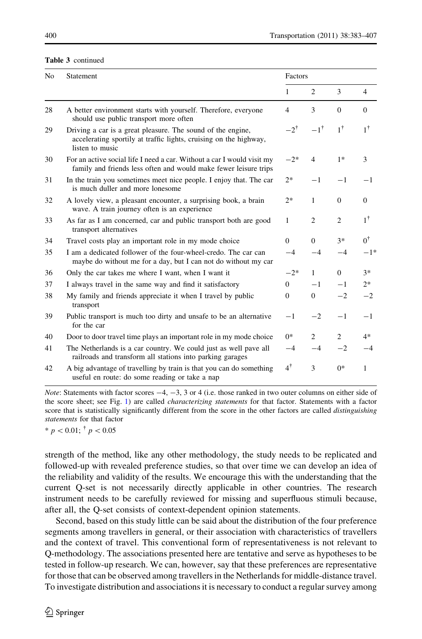| <b>Table 3</b> continued |  |
|--------------------------|--|
|--------------------------|--|

| No | Statement                                                                                                                                           | Factors        |                   |                |                |
|----|-----------------------------------------------------------------------------------------------------------------------------------------------------|----------------|-------------------|----------------|----------------|
|    |                                                                                                                                                     | 1              | $\mathfrak{2}$    | 3              | $\overline{4}$ |
| 28 | A better environment starts with yourself. Therefore, everyone<br>should use public transport more often                                            | $\overline{4}$ | 3                 | $\mathbf{0}$   | $\Omega$       |
| 29 | Driving a car is a great pleasure. The sound of the engine,<br>accelerating sportily at traffic lights, cruising on the highway,<br>listen to music | $-2^{\dagger}$ | $-1$ <sup>†</sup> | $1^{\dagger}$  | $1^{\dagger}$  |
| 30 | For an active social life I need a car. Without a car I would visit my<br>family and friends less often and would make fewer leisure trips          | $-2*$          | $\overline{4}$    | $1*$           | 3              |
| 31 | In the train you sometimes meet nice people. I enjoy that. The car<br>is much duller and more lonesome                                              | $2*$           | $-1$              | $-1$           | $-1$           |
| 32 | A lovely view, a pleasant encounter, a surprising book, a brain<br>wave. A train journey often is an experience                                     | $2*$           | $\mathbf{1}$      | $\mathbf{0}$   | $\theta$       |
| 33 | As far as I am concerned, car and public transport both are good<br>transport alternatives                                                          | 1              | $\mathfrak{2}$    | $\overline{c}$ | $1^{\dagger}$  |
| 34 | Travel costs play an important role in my mode choice                                                                                               | $\Omega$       | $\Omega$          | $3*$           | 0†             |
| 35 | I am a dedicated follower of the four-wheel-credo. The car can<br>maybe do without me for a day, but I can not do without my car                    | $-4$           | -4                | $-4$           | $-1*$          |
| 36 | Only the car takes me where I want, when I want it                                                                                                  | $-2*$          | 1                 | $\Omega$       | $3*$           |
| 37 | I always travel in the same way and find it satisfactory                                                                                            | $\Omega$       | $-1$              | $-1$           | $2*$           |
| 38 | My family and friends appreciate it when I travel by public<br>transport                                                                            | $\Omega$       | $\overline{0}$    | $-2$           | $-2$           |
| 39 | Public transport is much too dirty and unsafe to be an alternative<br>for the car                                                                   | $-1$           | $-2$              | $-1$           | $-1$           |
| 40 | Door to door travel time plays an important role in my mode choice                                                                                  | $0*$           | $\overline{2}$    | $\overline{c}$ | 4*             |
| 41 | The Netherlands is a car country. We could just as well pave all<br>railroads and transform all stations into parking garages                       | $-4$           | $-4$              | $-2$           | $-4$           |
| 42 | A big advantage of travelling by train is that you can do something<br>useful en route: do some reading or take a nap                               | $4^{\dagger}$  | 3                 | $0*$           | 1              |

*Note*: Statements with factor scores  $-4$ ,  $-3$ , 3 or 4 (i.e. those ranked in two outer columns on either side of the score sheet; see Fig. [1\)](#page-13-0) are called *characterizing statements* for that factor. Statements with a factor score that is statistically significantly different from the score in the other factors are called *distinguishing* statements for that factor

\*  $p < 0.01$ ;  $\dagger$   $p < 0.05$ 

strength of the method, like any other methodology, the study needs to be replicated and followed-up with revealed preference studies, so that over time we can develop an idea of the reliability and validity of the results. We encourage this with the understanding that the current Q-set is not necessarily directly applicable in other countries. The research instrument needs to be carefully reviewed for missing and superfluous stimuli because, after all, the Q-set consists of context-dependent opinion statements.

Second, based on this study little can be said about the distribution of the four preference segments among travellers in general, or their association with characteristics of travellers and the context of travel. This conventional form of representativeness is not relevant to Q-methodology. The associations presented here are tentative and serve as hypotheses to be tested in follow-up research. We can, however, say that these preferences are representative for those that can be observed among travellers in the Netherlands for middle-distance travel. To investigate distribution and associations it is necessary to conduct a regular survey among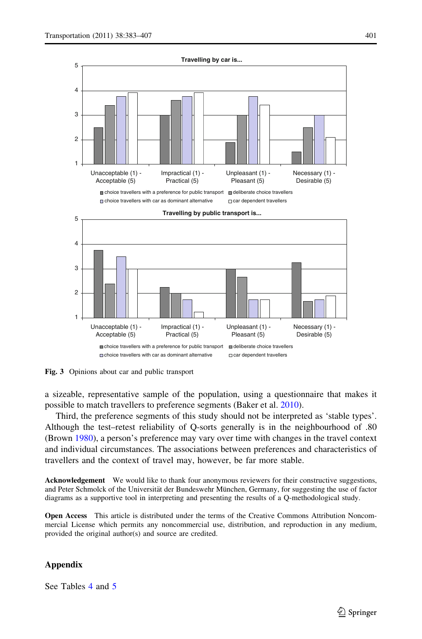<span id="page-18-0"></span>

Fig. 3 Opinions about car and public transport

a sizeable, representative sample of the population, using a questionnaire that makes it possible to match travellers to preference segments (Baker et al. [2010](#page-22-0)).

Third, the preference segments of this study should not be interpreted as 'stable types'. Although the test–retest reliability of Q-sorts generally is in the neighbourhood of .80 (Brown [1980\)](#page-22-0), a person's preference may vary over time with changes in the travel context and individual circumstances. The associations between preferences and characteristics of travellers and the context of travel may, however, be far more stable.

Acknowledgement We would like to thank four anonymous reviewers for their constructive suggestions, and Peter Schmolck of the Universität der Bundeswehr München, Germany, for suggesting the use of factor diagrams as a supportive tool in interpreting and presenting the results of a Q-methodological study.

Open Access This article is distributed under the terms of the Creative Commons Attribution Noncommercial License which permits any noncommercial use, distribution, and reproduction in any medium, provided the original author(s) and source are credited.

## Appendix

See Tables [4](#page-19-0) and [5](#page-21-0)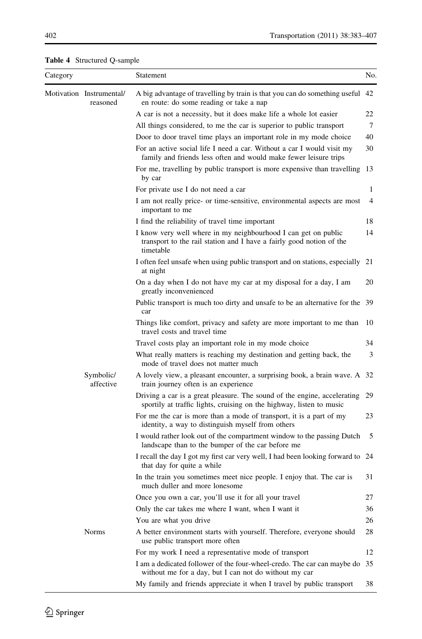| Category |                                      | No.<br>Statement                                                                                                                                    |                |  |  |  |
|----------|--------------------------------------|-----------------------------------------------------------------------------------------------------------------------------------------------------|----------------|--|--|--|
|          | Motivation Instrumental/<br>reasoned | A big advantage of travelling by train is that you can do something useful 42<br>en route: do some reading or take a nap                            |                |  |  |  |
|          |                                      | A car is not a necessity, but it does make life a whole lot easier                                                                                  | 22             |  |  |  |
|          |                                      | All things considered, to me the car is superior to public transport                                                                                | 7              |  |  |  |
|          |                                      | Door to door travel time plays an important role in my mode choice                                                                                  | 40             |  |  |  |
|          |                                      | For an active social life I need a car. Without a car I would visit my<br>family and friends less often and would make fewer leisure trips          | 30             |  |  |  |
|          |                                      | For me, travelling by public transport is more expensive than travelling<br>by car                                                                  | 13             |  |  |  |
|          |                                      | For private use I do not need a car                                                                                                                 | 1              |  |  |  |
|          |                                      | I am not really price- or time-sensitive, environmental aspects are most<br>important to me                                                         | $\overline{4}$ |  |  |  |
|          |                                      | I find the reliability of travel time important                                                                                                     | 18             |  |  |  |
|          |                                      | I know very well where in my neighbourhood I can get on public<br>transport to the rail station and I have a fairly good notion of the<br>timetable | 14             |  |  |  |
|          |                                      | I often feel unsafe when using public transport and on stations, especially<br>at night                                                             | 21             |  |  |  |
|          |                                      | On a day when I do not have my car at my disposal for a day, I am<br>greatly inconvenienced                                                         | 20             |  |  |  |
|          |                                      | Public transport is much too dirty and unsafe to be an alternative for the<br>car                                                                   | 39             |  |  |  |
|          |                                      | Things like comfort, privacy and safety are more important to me than<br>travel costs and travel time                                               | 10             |  |  |  |
|          |                                      | Travel costs play an important role in my mode choice                                                                                               | 34             |  |  |  |
|          |                                      | What really matters is reaching my destination and getting back, the<br>mode of travel does not matter much                                         | 3              |  |  |  |
|          | Symbolic/<br>affective               | A lovely view, a pleasant encounter, a surprising book, a brain wave. A<br>train journey often is an experience                                     | 32             |  |  |  |
|          |                                      | Driving a car is a great pleasure. The sound of the engine, accelerating<br>sportily at traffic lights, cruising on the highway, listen to music    | 29             |  |  |  |
|          |                                      | For me the car is more than a mode of transport, it is a part of my<br>identity, a way to distinguish myself from others                            | 23             |  |  |  |
|          |                                      | I would rather look out of the compartment window to the passing Dutch<br>landscape than to the bumper of the car before me                         | 5              |  |  |  |
|          |                                      | I recall the day I got my first car very well, I had been looking forward to 24<br>that day for quite a while                                       |                |  |  |  |
|          |                                      | In the train you sometimes meet nice people. I enjoy that. The car is<br>much duller and more lonesome                                              | 31             |  |  |  |
|          |                                      | Once you own a car, you'll use it for all your travel                                                                                               | 27             |  |  |  |
|          |                                      | Only the car takes me where I want, when I want it                                                                                                  | 36             |  |  |  |
|          |                                      | You are what you drive                                                                                                                              | 26             |  |  |  |
|          | <b>Norms</b>                         | A better environment starts with yourself. Therefore, everyone should<br>use public transport more often                                            | 28             |  |  |  |
|          |                                      | For my work I need a representative mode of transport                                                                                               | 12             |  |  |  |
|          |                                      | I am a dedicated follower of the four-wheel-credo. The car can maybe do<br>without me for a day, but I can not do without my car                    | 35             |  |  |  |
|          |                                      | My family and friends appreciate it when I travel by public transport                                                                               | 38             |  |  |  |

<span id="page-19-0"></span>Table 4 Structured Q-sample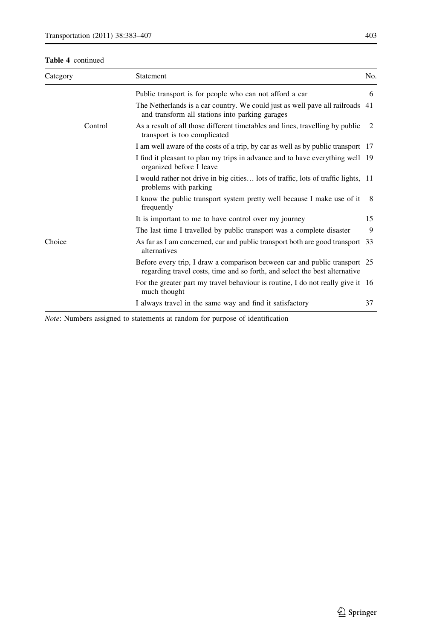### Table 4 continued

| Category |         | Statement                                                                                                                                                | No. |
|----------|---------|----------------------------------------------------------------------------------------------------------------------------------------------------------|-----|
|          |         | Public transport is for people who can not afford a car                                                                                                  | 6   |
|          |         | The Netherlands is a car country. We could just as well pave all railroads 41<br>and transform all stations into parking garages                         |     |
|          | Control | As a result of all those different timetables and lines, travelling by public<br>transport is too complicated                                            | 2   |
|          |         | I am well aware of the costs of a trip, by car as well as by public transport 17                                                                         |     |
|          |         | I find it pleasant to plan my trips in advance and to have everything well 19<br>organized before I leave                                                |     |
|          |         | I would rather not drive in big cities lots of traffic, lots of traffic lights, 11<br>problems with parking                                              |     |
|          |         | I know the public transport system pretty well because I make use of it<br>frequently                                                                    | 8   |
|          |         | It is important to me to have control over my journey                                                                                                    | 15  |
|          |         | The last time I travelled by public transport was a complete disaster                                                                                    | 9   |
| Choice   |         | As far as I am concerned, car and public transport both are good transport 33<br>alternatives                                                            |     |
|          |         | Before every trip, I draw a comparison between car and public transport 25<br>regarding travel costs, time and so forth, and select the best alternative |     |
|          |         | For the greater part my travel behaviour is routine, I do not really give it 16<br>much thought                                                          |     |
|          |         | I always travel in the same way and find it satisfactory                                                                                                 | 37  |

Note: Numbers assigned to statements at random for purpose of identification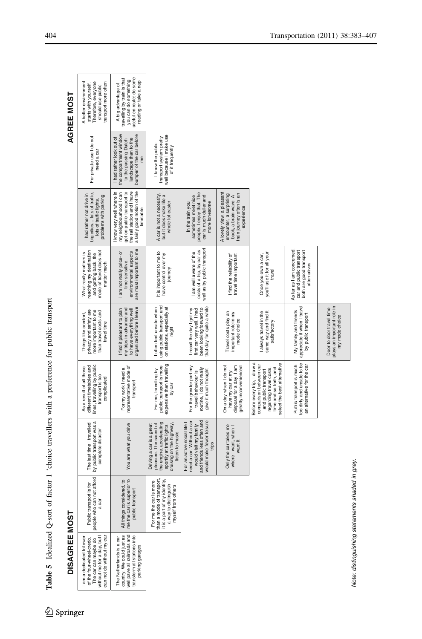| ;                                                           |
|-------------------------------------------------------------|
|                                                             |
| ı<br>l                                                      |
| ׇׇ֚֘֡<br>I                                                  |
|                                                             |
| j<br>$\vdots$<br>$-1 + 1 + 1 = 0$                           |
|                                                             |
| ֧֧֧֧֧֧֧֧֛֧֛֧ׅ֧ׅ֧֛֛֪֛֚֚֚֚֚֚֚֚֚֚֚֚֚֚֚֚֚֚֚֚֚֚֚֚֟֝֝֝֝֝֝֜֝֝֝֜֜֜֜ |
| ֚                                                           |
| $\overline{a}$                                              |
| j                                                           |
|                                                             |
| ֖֖֖֖֖ׅ֖ׅׅ֪֪ׅ֖֚֚֚֚֚֚֚֚֚֚֚֚֚֚֚֚֚֚֚֚֚֚֚֚֚֚֚֡֝֬֓֬֝֓֞            |
| l                                                           |
| :<br>'<br>ו<br>í<br>ï                                       |

<span id="page-21-0"></span>

| AGREE MOST           | A better environment<br>Therefore, everyone<br>transport more often<br>starts with yourself.<br>should use public                       | useful en route: do some<br>travelling by train is that<br>you can do something<br>reading or take a nap<br>A big advantage of                               |                                                                                                                                                             |                                                                                                                                                        |                                                                                                                          |                                                                                                                                                                   |                                                                                                  |                                                                          |
|----------------------|-----------------------------------------------------------------------------------------------------------------------------------------|--------------------------------------------------------------------------------------------------------------------------------------------------------------|-------------------------------------------------------------------------------------------------------------------------------------------------------------|--------------------------------------------------------------------------------------------------------------------------------------------------------|--------------------------------------------------------------------------------------------------------------------------|-------------------------------------------------------------------------------------------------------------------------------------------------------------------|--------------------------------------------------------------------------------------------------|--------------------------------------------------------------------------|
|                      | For private use I do not<br>need a car                                                                                                  | bumper of the car before<br>the compartment window<br>I had rather look out of<br>landscape than to the<br>to the passing Dutch<br>en<br>me                  | well because I make use<br>transport system pretty<br>I know the public<br>of it frequently                                                                 |                                                                                                                                                        |                                                                                                                          |                                                                                                                                                                   |                                                                                                  |                                                                          |
|                      | big cities lots of traffic,<br>I had rather not drive in<br>problems with parking<br>lots of traffic lights,                            | a fairly good notion of the<br>I know very well where in<br>get on public transport to<br>the rail station and I have<br>my neighbourhood I can<br>timetable | A car is not a necessity,<br>but it does make life a<br>whole lot easier                                                                                    | people. I enjoy that. The<br>car is much duller and<br>sometimes meet nice<br>more lonesome<br>In the train you                                        | A lovely view, a pleasant<br>train journey often is an<br>encounter, a surprising<br>book, a brain wave. A<br>experience |                                                                                                                                                                   |                                                                                                  |                                                                          |
|                      | reaching my destination<br>mode of travel does not<br>What really matters is<br>and getting back, the<br>matter much                    | are most important to me<br>environmental aspects<br>I am not really price-or<br>time-sensitive,                                                             | It is important to me to<br>have control over my<br>journey                                                                                                 | well as by public transport<br>costs of a trip, by car as<br>I am well aware of the                                                                    | I find the reliability of<br>travel time important                                                                       | you'll use it for all your<br>Once you own a car,<br>travel                                                                                                       | As far as I am concerned.<br>car and public transport<br>both are good transport<br>alternatives |                                                                          |
|                      | privacy and safety are<br>more important to me<br>than travel costs and<br>Things like comfort,<br>travel time                          | organized before I leave<br>I find it pleasant to plan<br>my trips in advance and<br>to have everything well                                                 | using public transport and<br>on stations, especially at<br>I often feel unsafe when<br>night                                                               | hat day for quite a while<br>been looking forward to<br>I recall the day I got my<br>first car very well, I had                                        | Travel costs play an<br>important role in my<br>mode choice                                                              | I always travel in the<br>same way and find it<br>satisfactory                                                                                                    | appreciate it when I travel<br>by public transport<br>My family and friends                      | plays an important role in<br>Door to door travel time<br>my mode choice |
|                      | lines, travelling by public<br>different timetables and<br>As a result of all those<br>transport is too<br>complicated                  | representative mode of<br>For my work I need a<br>transport                                                                                                  | expensive than travelling<br>public transport is more<br>For me, travelling by<br>by car                                                                    | For the greater part my<br>routine, I do not really<br>give it much thought<br>travel behaviour is                                                     | On a day when I do not<br>disposal for a day, I am<br>greatly inconvenienced<br>have my car at my                        | Before every trip, I draw a<br>select the best alternative<br>comparison between car<br>regarding travel costs,<br>time and so forth, and<br>and public transport | Public transport is much<br>too dirty and unsafe to be<br>an alternative for the car             |                                                                          |
|                      | by public transport was a<br>The last time I travelled<br>complete disaster                                                             | You are what you drive                                                                                                                                       | the engine, accelerating<br>pleasure. The sound of<br>cruising on the highway<br>sportily at traffic lights,<br>Driving a car is a great<br>listen to music | would make fewer leisure<br>and friends less often and<br>need a car. Without a car<br>For an active social life I<br>I would visit my family<br>trips | Only the car takes me<br>where I want, when I<br>want it                                                                 |                                                                                                                                                                   |                                                                                                  |                                                                          |
|                      | people who can not afford<br>Public transport is for<br>a car                                                                           | me the car is superior to<br>All things considered, to<br>public transport                                                                                   | than a mode of transport<br>my identity,<br>For me the car is more<br>istinguish<br>myself from others<br>it is a part of<br>a way to d                     |                                                                                                                                                        |                                                                                                                          |                                                                                                                                                                   |                                                                                                  |                                                                          |
| <b>DISAGREE MOST</b> | can not do without my car<br>I am a dedicated follower<br>without me for a day, but<br>of the four-wheel-credo.<br>The car can maybe do | well pave all railroads and<br>country. We could just as<br>transform all stations into<br>The Netherlands is a car<br>parking garages                       |                                                                                                                                                             |                                                                                                                                                        |                                                                                                                          |                                                                                                                                                                   |                                                                                                  |                                                                          |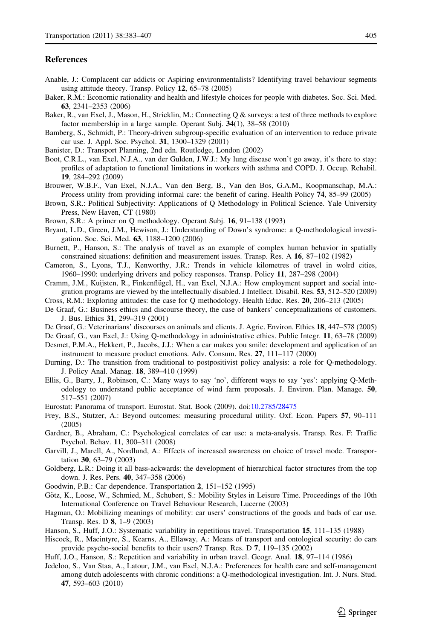#### <span id="page-22-0"></span>**References**

- Anable, J.: Complacent car addicts or Aspiring environmentalists? Identifying travel behaviour segments using attitude theory. Transp. Policy 12, 65–78 (2005)
- Baker, R.M.: Economic rationality and health and lifestyle choices for people with diabetes. Soc. Sci. Med. 63, 2341–2353 (2006)
- Baker, R., van Exel, J., Mason, H., Stricklin, M.: Connecting Q & surveys: a test of three methods to explore factor membership in a large sample. Operant Subj. 34(1), 38–58 (2010)
- Bamberg, S., Schmidt, P.: Theory-driven subgroup-specific evaluation of an intervention to reduce private car use. J. Appl. Soc. Psychol. 31, 1300–1329 (2001)
- Banister, D.: Transport Planning, 2nd edn. Routledge, London (2002)
- Boot, C.R.L., van Exel, N.J.A., van der Gulden, J.W.J.: My lung disease won't go away, it's there to stay: profiles of adaptation to functional limitations in workers with asthma and COPD. J. Occup. Rehabil. 19, 284–292 (2009)
- Brouwer, W.B.F., Van Exel, N.J.A., Van den Berg, B., Van den Bos, G.A.M., Koopmanschap, M.A.: Process utility from providing informal care: the benefit of caring. Health Policy 74, 85–99 (2005)
- Brown, S.R.: Political Subjectivity: Applications of Q Methodology in Political Science. Yale University Press, New Haven, CT (1980)
- Brown, S.R.: A primer on Q methodology. Operant Subj. 16, 91–138 (1993)
- Bryant, L.D., Green, J.M., Hewison, J.: Understanding of Down's syndrome: a Q-methodological investigation. Soc. Sci. Med. 63, 1188–1200 (2006)
- Burnett, P., Hanson, S.: The analysis of travel as an example of complex human behavior in spatially constrained situations: definition and measurement issues. Transp. Res. A 16, 87–102 (1982)
- Cameron, S., Lyons, T.J., Kenworthy, J.R.: Trends in vehicle kilometres of travel in wolrd cities, 1960–1990: underlying drivers and policy responses. Transp. Policy 11, 287–298 (2004)
- Cramm, J.M., Kuijsten, R., Finkenflügel, H., van Exel, N.J.A.: How employment support and social integration programs are viewed by the intellectually disabled. J Intellect. Disabil. Res. 53, 512–520 (2009)
- Cross, R.M.: Exploring attitudes: the case for Q methodology. Health Educ. Res. 20, 206–213 (2005)
- De Graaf, G.: Business ethics and discourse theory, the case of bankers' conceptualizations of customers. J. Bus. Ethics 31, 299–319 (2001)
- De Graaf, G.: Veterinarians' discourses on animals and clients. J. Agric. Environ. Ethics 18, 447–578 (2005)
- De Graaf, G., van Exel, J.: Using Q-methodology in administrative ethics. Public Integr. 11, 63–78 (2009) Desmet, P.M.A., Hekkert, P., Jacobs, J.J.: When a car makes you smile: development and application of an
- instrument to measure product emotions. Adv. Consum. Res. 27, 111–117 (2000)
- Durning, D.: The transition from traditional to postpositivist policy analysis: a role for Q-methodology. J. Policy Anal. Manag. 18, 389–410 (1999)
- Ellis, G., Barry, J., Robinson, C.: Many ways to say 'no', different ways to say 'yes': applying Q-Methodology to understand public acceptance of wind farm proposals. J. Environ. Plan. Manage. 50, 517–551 (2007)
- Eurostat: Panorama of transport. Eurostat. Stat. Book (2009). doi[:10.2785/28475](http://dx.doi.org/10.2785/28475)
- Frey, B.S., Stutzer, A.: Beyond outcomes: measuring procedural utility. Oxf. Econ. Papers 57, 90–111 (2005)
- Gardner, B., Abraham, C.: Psychological correlates of car use: a meta-analysis. Transp. Res. F: Traffic Psychol. Behav. 11, 300–311 (2008)
- Garvill, J., Marell, A., Nordlund, A.: Effects of increased awareness on choice of travel mode. Transportation 30, 63–79 (2003)
- Goldberg, L.R.: Doing it all bass-ackwards: the development of hierarchical factor structures from the top down. J. Res. Pers. 40, 347–358 (2006)
- Goodwin, P.B.: Car dependence. Transportation 2, 151–152 (1995)
- Götz, K., Loose, W., Schmied, M., Schubert, S.: Mobility Styles in Leisure Time. Proceedings of the 10th International Conference on Travel Behaviour Research, Lucerne (2003)
- Hagman, O.: Mobilizing meanings of mobility: car users' constructions of the goods and bads of car use. Transp. Res. D 8, 1–9 (2003)
- Hanson, S., Huff, J.O.: Systematic variability in repetitious travel. Transportation 15, 111–135 (1988)
- Hiscock, R., Macintyre, S., Kearns, A., Ellaway, A.: Means of transport and ontological security: do cars provide psycho-social benefits to their users? Transp. Res. D 7, 119–135 (2002)
- Huff, J.O., Hanson, S.: Repetition and variability in urban travel. Geogr. Anal. 18, 97–114 (1986)
- Jedeloo, S., Van Staa, A., Latour, J.M., van Exel, N.J.A.: Preferences for health care and self-management among dutch adolescents with chronic conditions: a Q-methodological investigation. Int. J. Nurs. Stud. 47, 593–603 (2010)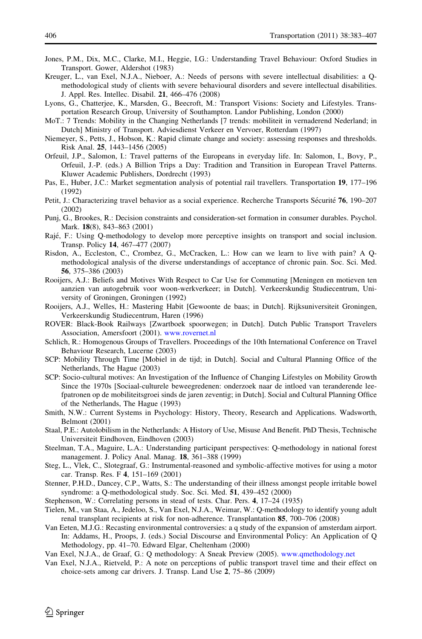- <span id="page-23-0"></span>Jones, P.M., Dix, M.C., Clarke, M.I., Heggie, I.G.: Understanding Travel Behaviour: Oxford Studies in Transport. Gower, Aldershot (1983)
- Kreuger, L., van Exel, N.J.A., Nieboer, A.: Needs of persons with severe intellectual disabilities: a Qmethodological study of clients with severe behavioural disorders and severe intellectual disabilities. J. Appl. Res. Intellec. Disabil. 21, 466–476 (2008)
- Lyons, G., Chatterjee, K., Marsden, G., Beecroft, M.: Transport Visions: Society and Lifestyles. Transportation Research Group, University of Southampton. Landor Publishing, London (2000)
- MoT.: 7 Trends: Mobility in the Changing Netherlands [7 trends: mobiliteit in vernaderend Nederland; in Dutch] Ministry of Transport. Adviesdienst Verkeer en Vervoer, Rotterdam (1997)
- Niemeyer, S., Petts, J., Hobson, K.: Rapid climate change and society: assessing responses and thresholds. Risk Anal. 25, 1443–1456 (2005)
- Orfeuil, J.P., Salomon, I.: Travel patterns of the Europeans in everyday life. In: Salomon, I., Bovy, P., Orfeuil, J.-P. (eds.) A Billion Trips a Day: Tradition and Transition in European Travel Patterns. Kluwer Academic Publishers, Dordrecht (1993)
- Pas, E., Huber, J.C.: Market segmentation analysis of potential rail travellers. Transportation 19, 177–196 (1992)
- Petit, J.: Characterizing travel behavior as a social experience. Recherche Transports Sécurité 76, 190–207 (2002)
- Punj, G., Brookes, R.: Decision constraints and consideration-set formation in consumer durables. Psychol. Mark. 18(8), 843–863 (2001)
- Raje´, F.: Using Q-methodology to develop more perceptive insights on transport and social inclusion. Transp. Policy 14, 467–477 (2007)
- Risdon, A., Eccleston, C., Crombez, G., McCracken, L.: How can we learn to live with pain? A Qmethodological analysis of the diverse understandings of acceptance of chronic pain. Soc. Sci. Med. 56, 375–386 (2003)
- Rooijers, A.J.: Beliefs and Motives With Respect to Car Use for Commuting [Meningen en motieven ten aanzien van autogebruik voor woon-werkverkeer; in Dutch]. Verkeerskundig Studiecentrum, University of Groningen, Groningen (1992)
- Rooijers, A.J., Welles, H.: Mastering Habit [Gewoonte de baas; in Dutch]. Rijksuniversiteit Groningen, Verkeerskundig Studiecentrum, Haren (1996)
- ROVER: Black-Book Railways [Zwartboek spoorwegen; in Dutch]. Dutch Public Transport Travelers Association, Amersfoort (2001). [www.rovernet.nl](http://www.rovernet.nl)
- Schlich, R.: Homogenous Groups of Travellers. Proceedings of the 10th International Conference on Travel Behaviour Research, Lucerne (2003)
- SCP: Mobility Through Time [Mobiel in de tijd; in Dutch]. Social and Cultural Planning Office of the Netherlands, The Hague (2003)
- SCP: Socio-cultural motives: An Investigation of the Influence of Changing Lifestyles on Mobility Growth Since the 1970s [Sociaal-culturele beweegredenen: onderzoek naar de intloed van teranderende leefpatronen op de mobiliteitsgroei sinds de jaren zeventig; in Dutch]. Social and Cultural Planning Office of the Netherlands, The Hague (1993)
- Smith, N.W.: Current Systems in Psychology: History, Theory, Research and Applications. Wadsworth, Belmont (2001)
- Staal, P.E.: Autolobilism in the Netherlands: A History of Use, Misuse And Benefit. PhD Thesis, Technische Universiteit Eindhoven, Eindhoven (2003)
- Steelman, T.A., Maguire, L.A.: Understanding participant perspectives: Q-methodology in national forest management. J. Policy Anal. Manag. 18, 361–388 (1999)
- Steg, L., Vlek, C., Slotegraaf, G.: Instrumental-reasoned and symbolic-affective motives for using a motor car. Transp. Res. F 4, 151–169 (2001)
- Stenner, P.H.D., Dancey, C.P., Watts, S.: The understanding of their illness amongst people irritable bowel syndrome: a Q-methodological study. Soc. Sci. Med. 51, 439–452 (2000)
- Stephenson, W.: Correlating persons in stead of tests. Char. Pers. 4, 17–24 (1935)
- Tielen, M., van Staa, A., Jedeloo, S., Van Exel, N.J.A., Weimar, W.: Q-methodology to identify young adult renal transplant recipients at risk for non-adherence. Transplantation 85, 700–706 (2008)
- Van Eeten, M.J.G.: Recasting environmental controversies: a q study of the expansion of amsterdam airport. In: Addams, H., Proops, J. (eds.) Social Discourse and Environmental Policy: An Application of Q Methodology, pp. 41–70. Edward Elgar, Cheltenham (2000)
- Van Exel, N.J.A., de Graaf, G.: Q methodology: A Sneak Preview (2005). [www.qmethodology.net](http://www.qmethodology.net)
- Van Exel, N.J.A., Rietveld, P.: A note on perceptions of public transport travel time and their effect on choice-sets among car drivers. J. Transp. Land Use 2, 75–86 (2009)